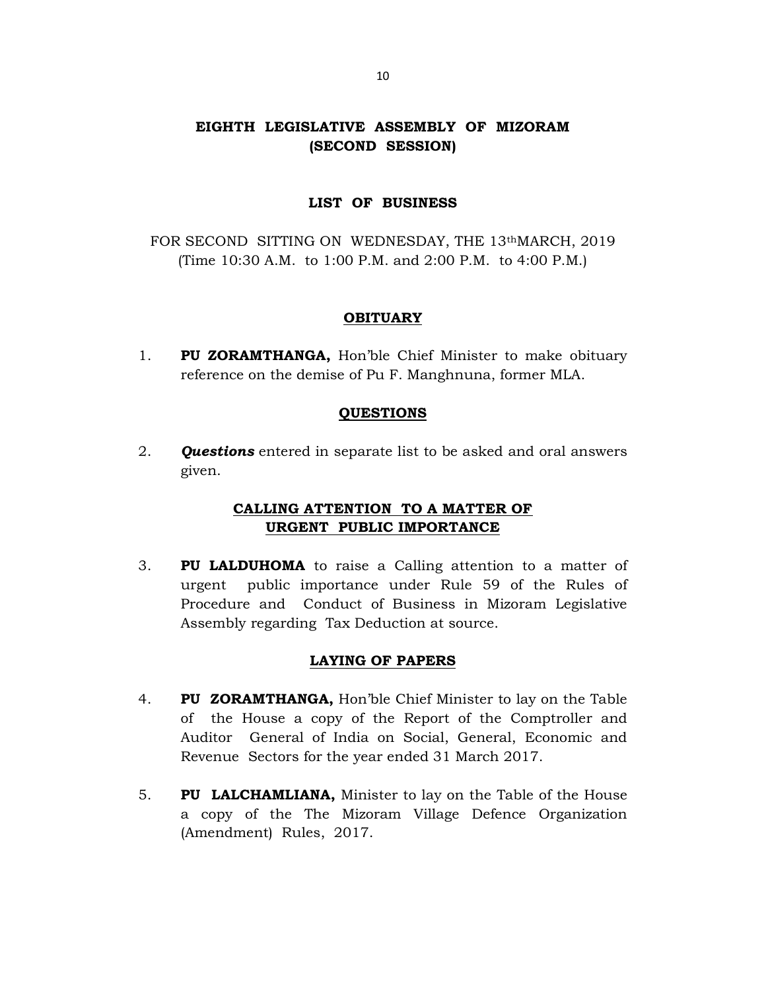# EIGHTH LEGISLATIVE ASSEMBLY OF MIZORAM (SECOND SESSION)

### LIST OF BUSINESS

FOR SECOND SITTING ON WEDNESDAY, THE 13thMARCH, 2019 (Time 10:30 A.M. to 1:00 P.M. and 2:00 P.M. to 4:00 P.M.)

### **OBITUARY**

1. PU ZORAMTHANGA, Hon'ble Chief Minister to make obituary reference on the demise of Pu F. Manghnuna, former MLA.

## QUESTIONS

2. **Questions** entered in separate list to be asked and oral answers given.

# CALLING ATTENTION TO A MATTER OF URGENT PUBLIC IMPORTANCE

3. PU LALDUHOMA to raise a Calling attention to a matter of urgent public importance under Rule 59 of the Rules of Procedure and Conduct of Business in Mizoram Legislative Assembly regarding Tax Deduction at source.

## LAYING OF PAPERS

- 4. PU ZORAMTHANGA, Hon'ble Chief Minister to lay on the Table of the House a copy of the Report of the Comptroller and Auditor General of India on Social, General, Economic and Revenue Sectors for the year ended 31 March 2017.
- 5. PU LALCHAMLIANA, Minister to lay on the Table of the House a copy of the The Mizoram Village Defence Organization (Amendment) Rules, 2017.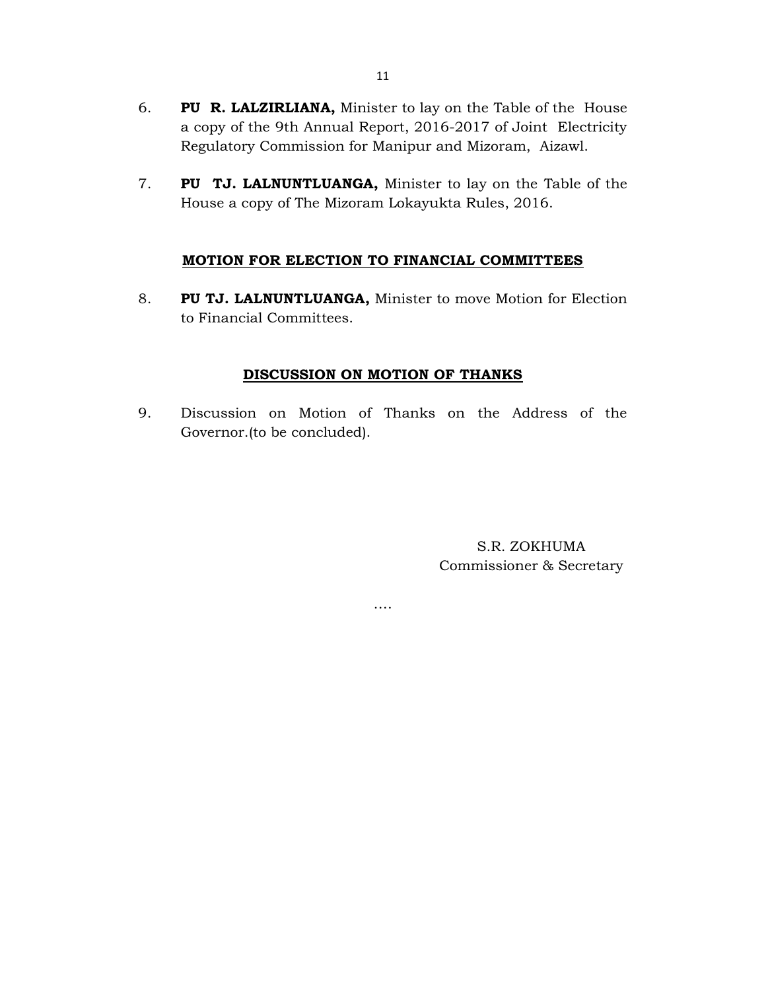- 6. PU R. LALZIRLIANA, Minister to lay on the Table of the House a copy of the 9th Annual Report, 2016-2017 of Joint Electricity Regulatory Commission for Manipur and Mizoram, Aizawl.
- 7. PU TJ. LALNUNTLUANGA, Minister to lay on the Table of the House a copy of The Mizoram Lokayukta Rules, 2016.

# MOTION FOR ELECTION TO FINANCIAL COMMITTEES

8. PU TJ. LALNUNTLUANGA, Minister to move Motion for Election to Financial Committees.

# DISCUSSION ON MOTION OF THANKS

9. Discussion on Motion of Thanks on the Address of the Governor.(to be concluded).

….

S.R. ZOKHUMA Commissioner & Secretary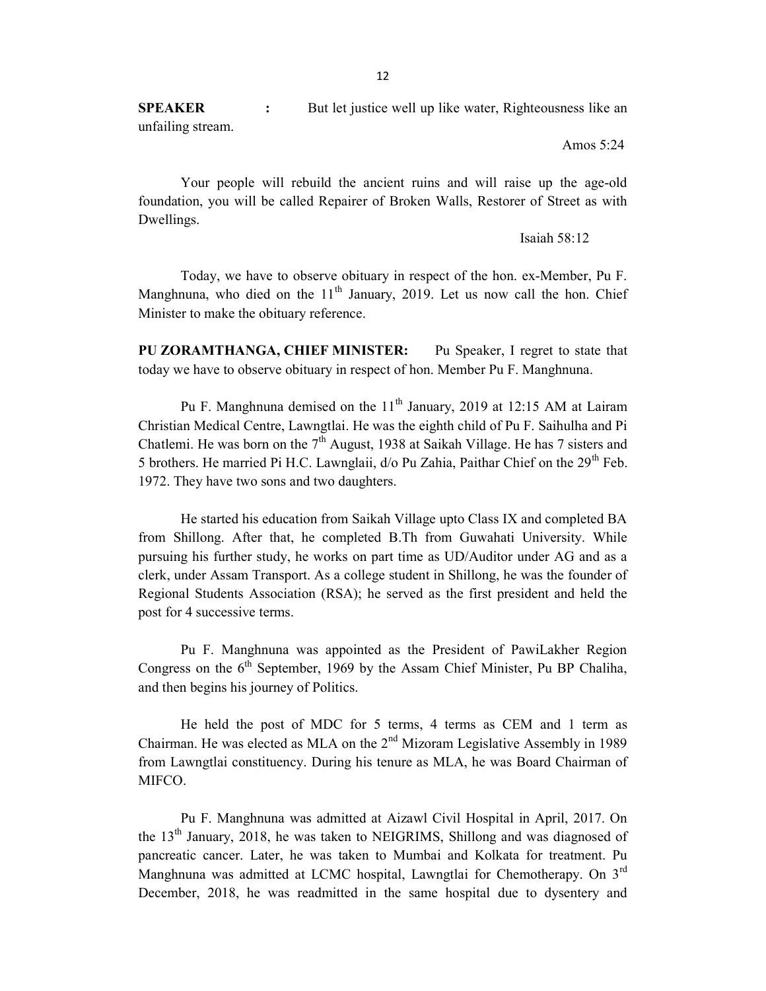**SPEAKER** : But let justice well up like water, Righteousness like an unfailing stream.

Amos 5:24

 Your people will rebuild the ancient ruins and will raise up the age-old foundation, you will be called Repairer of Broken Walls, Restorer of Street as with Dwellings.

Isaiah 58:12

 Today, we have to observe obituary in respect of the hon. ex-Member, Pu F. Manghnuna, who died on the  $11<sup>th</sup>$  January, 2019. Let us now call the hon. Chief Minister to make the obituary reference.

PU ZORAMTHANGA, CHIEF MINISTER: Pu Speaker, I regret to state that today we have to observe obituary in respect of hon. Member Pu F. Manghnuna.

Pu F. Manghnuna demised on the  $11<sup>th</sup>$  January, 2019 at 12:15 AM at Lairam Christian Medical Centre, Lawngtlai. He was the eighth child of Pu F. Saihulha and Pi Chatlemi. He was born on the  $7<sup>th</sup>$  August, 1938 at Saikah Village. He has 7 sisters and 5 brothers. He married Pi H.C. Lawnglaii,  $d$  o Pu Zahia, Paithar Chief on the 29<sup>th</sup> Feb. 1972. They have two sons and two daughters.

He started his education from Saikah Village upto Class IX and completed BA from Shillong. After that, he completed B.Th from Guwahati University. While pursuing his further study, he works on part time as UD/Auditor under AG and as a clerk, under Assam Transport. As a college student in Shillong, he was the founder of Regional Students Association (RSA); he served as the first president and held the post for 4 successive terms.

 Pu F. Manghnuna was appointed as the President of PawiLakher Region Congress on the  $6<sup>th</sup>$  September, 1969 by the Assam Chief Minister, Pu BP Chaliha, and then begins his journey of Politics.

He held the post of MDC for 5 terms, 4 terms as CEM and 1 term as Chairman. He was elected as MLA on the  $2<sup>nd</sup>$  Mizoram Legislative Assembly in 1989 from Lawngtlai constituency. During his tenure as MLA, he was Board Chairman of MIFCO.

Pu F. Manghnuna was admitted at Aizawl Civil Hospital in April, 2017. On the  $13<sup>th</sup>$  January, 2018, he was taken to NEIGRIMS, Shillong and was diagnosed of pancreatic cancer. Later, he was taken to Mumbai and Kolkata for treatment. Pu Manghnuna was admitted at LCMC hospital, Lawngtlai for Chemotherapy. On 3<sup>rd</sup> December, 2018, he was readmitted in the same hospital due to dysentery and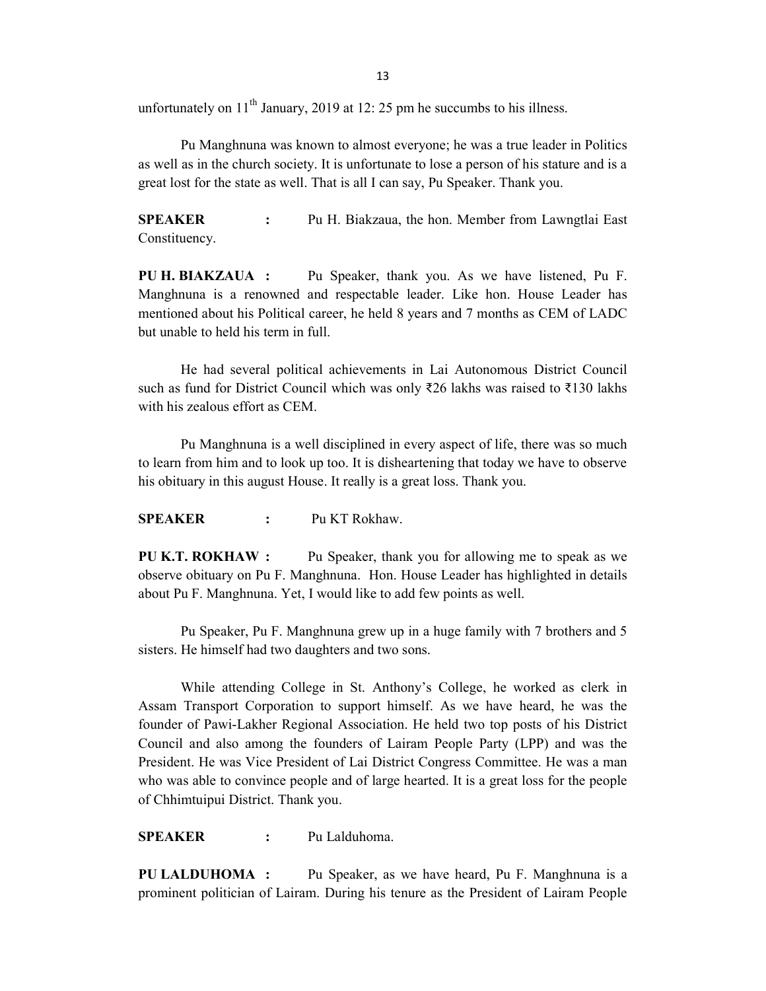unfortunately on  $11<sup>th</sup>$  January, 2019 at 12: 25 pm he succumbs to his illness.

Pu Manghnuna was known to almost everyone; he was a true leader in Politics as well as in the church society. It is unfortunate to lose a person of his stature and is a great lost for the state as well. That is all I can say, Pu Speaker. Thank you.

SPEAKER : Pu H. Biakzaua, the hon. Member from Lawngtlai East Constituency.

PU H. BIAKZAUA : Pu Speaker, thank you. As we have listened, Pu F. Manghnuna is a renowned and respectable leader. Like hon. House Leader has mentioned about his Political career, he held 8 years and 7 months as CEM of LADC but unable to held his term in full.

 He had several political achievements in Lai Autonomous District Council such as fund for District Council which was only ₹26 lakhs was raised to ₹130 lakhs with his zealous effort as CEM.

 Pu Manghnuna is a well disciplined in every aspect of life, there was so much to learn from him and to look up too. It is disheartening that today we have to observe his obituary in this august House. It really is a great loss. Thank you.

SPEAKER : Pu KT Rokhaw.

PU K.T. ROKHAW : Pu Speaker, thank you for allowing me to speak as we observe obituary on Pu F. Manghnuna. Hon. House Leader has highlighted in details about Pu F. Manghnuna. Yet, I would like to add few points as well.

 Pu Speaker, Pu F. Manghnuna grew up in a huge family with 7 brothers and 5 sisters. He himself had two daughters and two sons.

 While attending College in St. Anthony's College, he worked as clerk in Assam Transport Corporation to support himself. As we have heard, he was the founder of Pawi-Lakher Regional Association. He held two top posts of his District Council and also among the founders of Lairam People Party (LPP) and was the President. He was Vice President of Lai District Congress Committee. He was a man who was able to convince people and of large hearted. It is a great loss for the people of Chhimtuipui District. Thank you.

SPEAKER : Pu Lalduhoma.

PU LALDUHOMA : Pu Speaker, as we have heard, Pu F. Manghnuna is a prominent politician of Lairam. During his tenure as the President of Lairam People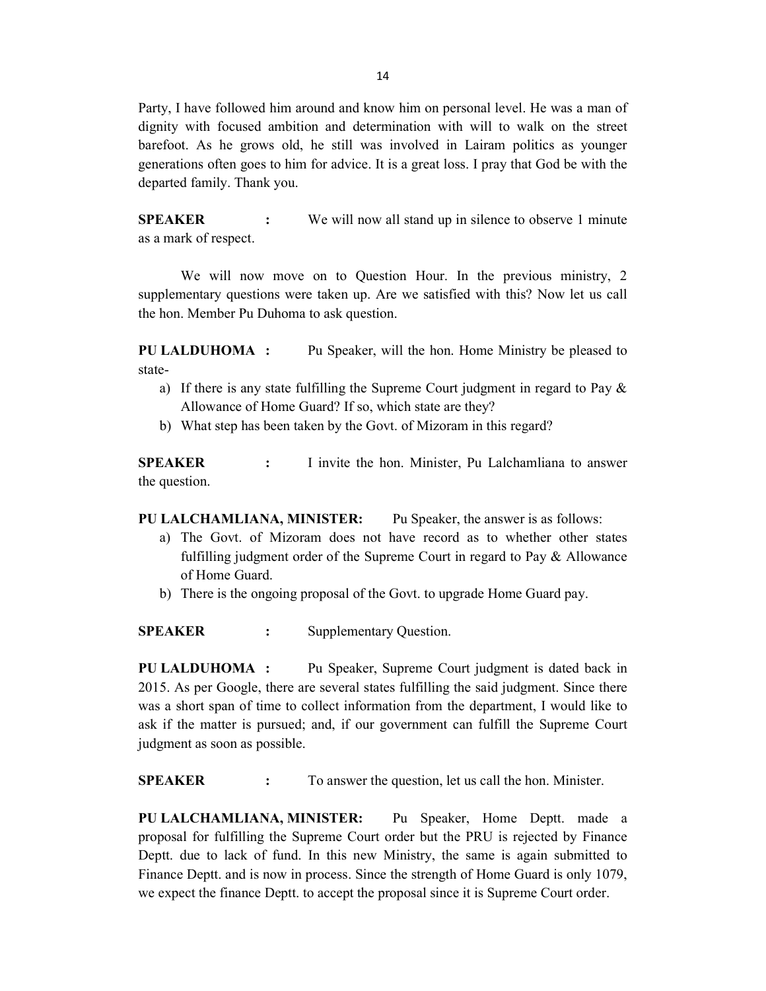Party, I have followed him around and know him on personal level. He was a man of dignity with focused ambition and determination with will to walk on the street barefoot. As he grows old, he still was involved in Lairam politics as younger generations often goes to him for advice. It is a great loss. I pray that God be with the departed family. Thank you.

SPEAKER : We will now all stand up in silence to observe 1 minute as a mark of respect.

 We will now move on to Question Hour. In the previous ministry, 2 supplementary questions were taken up. Are we satisfied with this? Now let us call the hon. Member Pu Duhoma to ask question.

PU LALDUHOMA : Pu Speaker, will the hon. Home Ministry be pleased to state-

- a) If there is any state fulfilling the Supreme Court judgment in regard to Pay & Allowance of Home Guard? If so, which state are they?
- b) What step has been taken by the Govt. of Mizoram in this regard?

SPEAKER : I invite the hon. Minister, Pu Lalchamliana to answer the question.

PU LALCHAMLIANA, MINISTER: Pu Speaker, the answer is as follows:

- a) The Govt. of Mizoram does not have record as to whether other states fulfilling judgment order of the Supreme Court in regard to Pay & Allowance of Home Guard.
- b) There is the ongoing proposal of the Govt. to upgrade Home Guard pay.

SPEAKER : Supplementary Question.

PU LALDUHOMA : Pu Speaker, Supreme Court judgment is dated back in 2015. As per Google, there are several states fulfilling the said judgment. Since there was a short span of time to collect information from the department, I would like to ask if the matter is pursued; and, if our government can fulfill the Supreme Court judgment as soon as possible.

SPEAKER : To answer the question, let us call the hon. Minister.

PU LALCHAMLIANA, MINISTER: Pu Speaker, Home Deptt. made a proposal for fulfilling the Supreme Court order but the PRU is rejected by Finance Deptt. due to lack of fund. In this new Ministry, the same is again submitted to Finance Deptt. and is now in process. Since the strength of Home Guard is only 1079, we expect the finance Deptt. to accept the proposal since it is Supreme Court order.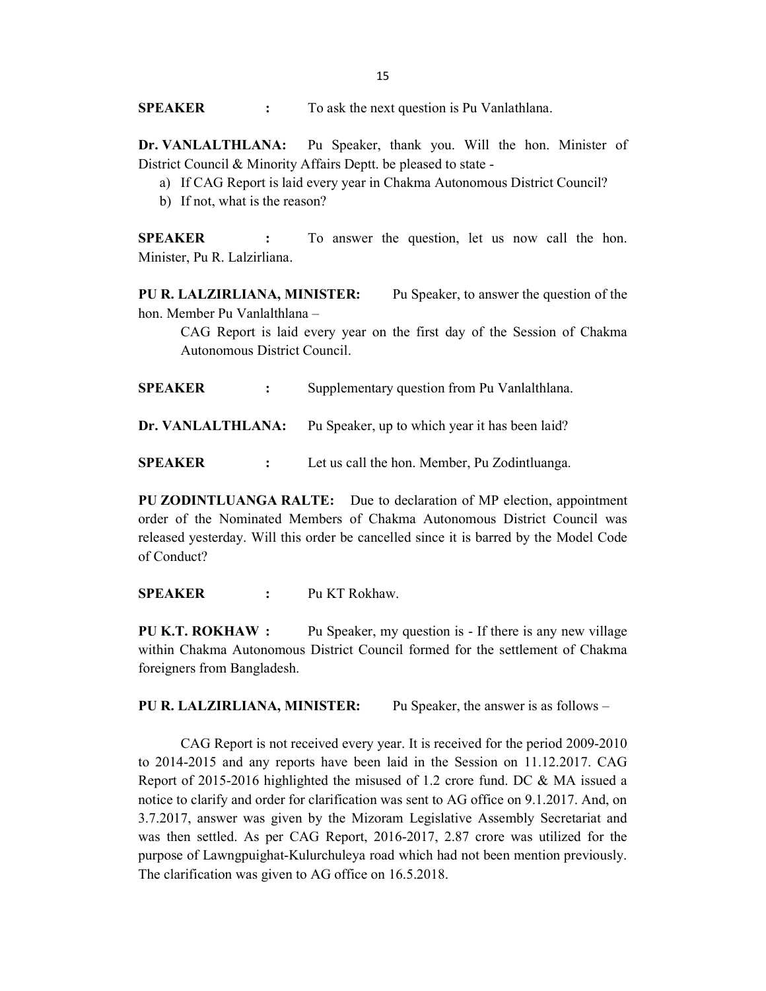**SPEAKER** : To ask the next question is Pu Vanlathlana.

Dr. VANLALTHLANA: Pu Speaker, thank you. Will the hon. Minister of District Council & Minority Affairs Deptt. be pleased to state -

- a) If CAG Report is laid every year in Chakma Autonomous District Council?
- b) If not, what is the reason?

SPEAKER : To answer the question, let us now call the hon. Minister, Pu R. Lalzirliana.

PU R. LALZIRLIANA, MINISTER: Pu Speaker, to answer the question of the hon. Member Pu Vanlalthlana –

CAG Report is laid every year on the first day of the Session of Chakma Autonomous District Council.

SPEAKER : Supplementary question from Pu Vanlalthlana.

Dr. VANLALTHLANA: Pu Speaker, up to which year it has been laid?

SPEAKER : Let us call the hon. Member, Pu Zodintluanga.

PU ZODINTLUANGA RALTE: Due to declaration of MP election, appointment order of the Nominated Members of Chakma Autonomous District Council was released yesterday. Will this order be cancelled since it is barred by the Model Code of Conduct?

SPEAKER : Pu KT Rokhaw.

PU K.T. ROKHAW : Pu Speaker, my question is - If there is any new village within Chakma Autonomous District Council formed for the settlement of Chakma foreigners from Bangladesh.

PU R. LALZIRLIANA, MINISTER: Pu Speaker, the answer is as follows -

 CAG Report is not received every year. It is received for the period 2009-2010 to 2014-2015 and any reports have been laid in the Session on 11.12.2017. CAG Report of 2015-2016 highlighted the misused of 1.2 crore fund. DC & MA issued a notice to clarify and order for clarification was sent to AG office on 9.1.2017. And, on 3.7.2017, answer was given by the Mizoram Legislative Assembly Secretariat and was then settled. As per CAG Report, 2016-2017, 2.87 crore was utilized for the purpose of Lawngpuighat-Kulurchuleya road which had not been mention previously. The clarification was given to AG office on 16.5.2018.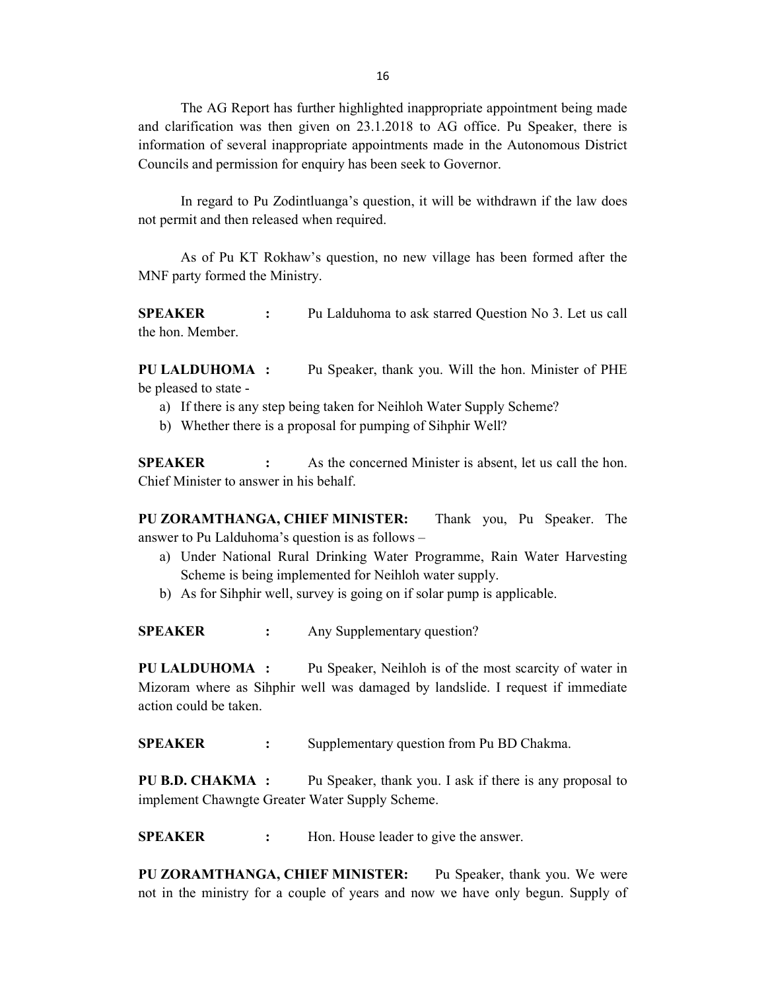16

The AG Report has further highlighted inappropriate appointment being made and clarification was then given on 23.1.2018 to AG office. Pu Speaker, there is information of several inappropriate appointments made in the Autonomous District Councils and permission for enquiry has been seek to Governor.

 In regard to Pu Zodintluanga's question, it will be withdrawn if the law does not permit and then released when required.

 As of Pu KT Rokhaw's question, no new village has been formed after the MNF party formed the Ministry.

**SPEAKER** : Pu Lalduhoma to ask starred Question No 3. Let us call the hon. Member.

PU LALDUHOMA : Pu Speaker, thank you. Will the hon. Minister of PHE be pleased to state -

- a) If there is any step being taken for Neihloh Water Supply Scheme?
- b) Whether there is a proposal for pumping of Sihphir Well?

SPEAKER : As the concerned Minister is absent, let us call the hon. Chief Minister to answer in his behalf.

PU ZORAMTHANGA, CHIEF MINISTER: Thank you, Pu Speaker. The answer to Pu Lalduhoma's question is as follows –

- a) Under National Rural Drinking Water Programme, Rain Water Harvesting Scheme is being implemented for Neihloh water supply.
- b) As for Sihphir well, survey is going on if solar pump is applicable.

SPEAKER : Any Supplementary question?

PU LALDUHOMA : Pu Speaker, Neihloh is of the most scarcity of water in Mizoram where as Sihphir well was damaged by landslide. I request if immediate action could be taken.

SPEAKER : Supplementary question from Pu BD Chakma.

PU B.D. CHAKMA : Pu Speaker, thank you. I ask if there is any proposal to implement Chawngte Greater Water Supply Scheme.

**SPEAKER** : Hon. House leader to give the answer.

PU ZORAMTHANGA, CHIEF MINISTER: Pu Speaker, thank you. We were not in the ministry for a couple of years and now we have only begun. Supply of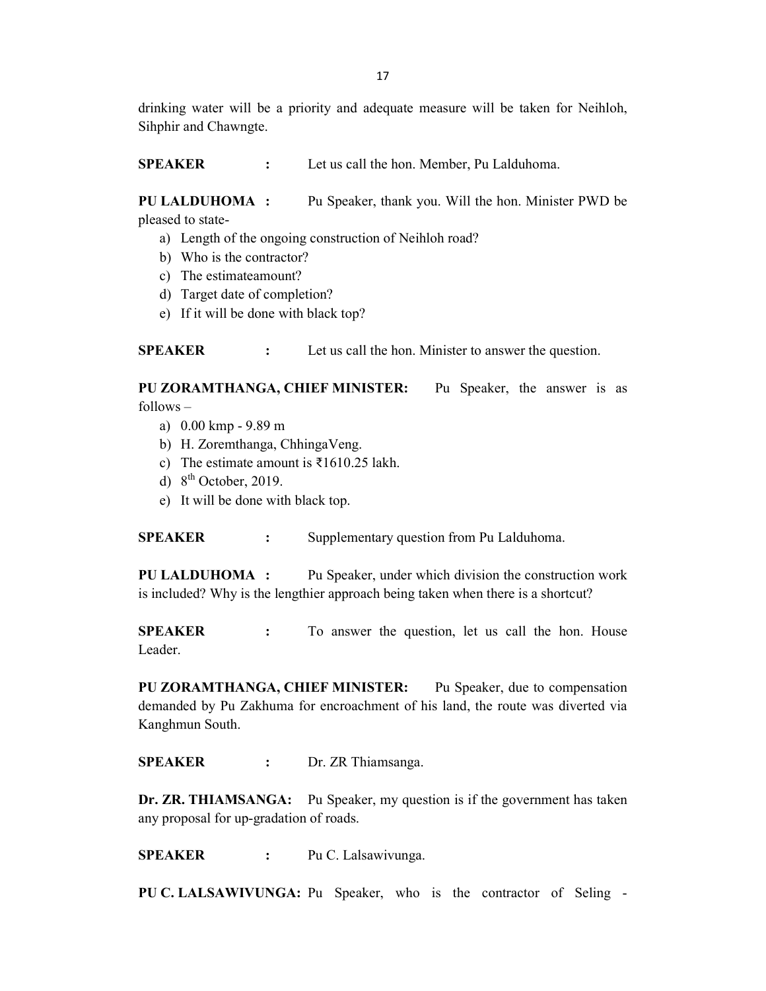drinking water will be a priority and adequate measure will be taken for Neihloh, Sihphir and Chawngte.

SPEAKER : Let us call the hon. Member, Pu Lalduhoma.

PU LALDUHOMA : Pu Speaker, thank you. Will the hon. Minister PWD be pleased to state-

- a) Length of the ongoing construction of Neihloh road?
- b) Who is the contractor?
- c) The estimateamount?
- d) Target date of completion?
- e) If it will be done with black top?

SPEAKER : Let us call the hon. Minister to answer the question.

PU ZORAMTHANGA, CHIEF MINISTER: Pu Speaker, the answer is as follows –

- a) 0.00 kmp 9.89 m
- b) H. Zoremthanga, ChhingaVeng.
- c) The estimate amount is ₹1610.25 lakh.
- d)  $8^{th}$  October, 2019.
- e) It will be done with black top.

SPEAKER : Supplementary question from Pu Lalduhoma.

PU LALDUHOMA : Pu Speaker, under which division the construction work is included? Why is the lengthier approach being taken when there is a shortcut?

SPEAKER : To answer the question, let us call the hon. House Leader.

PU ZORAMTHANGA, CHIEF MINISTER: Pu Speaker, due to compensation demanded by Pu Zakhuma for encroachment of his land, the route was diverted via Kanghmun South.

SPEAKER : Dr. ZR Thiamsanga.

Dr. ZR. THIAMSANGA: Pu Speaker, my question is if the government has taken any proposal for up-gradation of roads.

SPEAKER : Pu C. Lalsawivunga.

PU C. LALSAWIVUNGA: Pu Speaker, who is the contractor of Seling -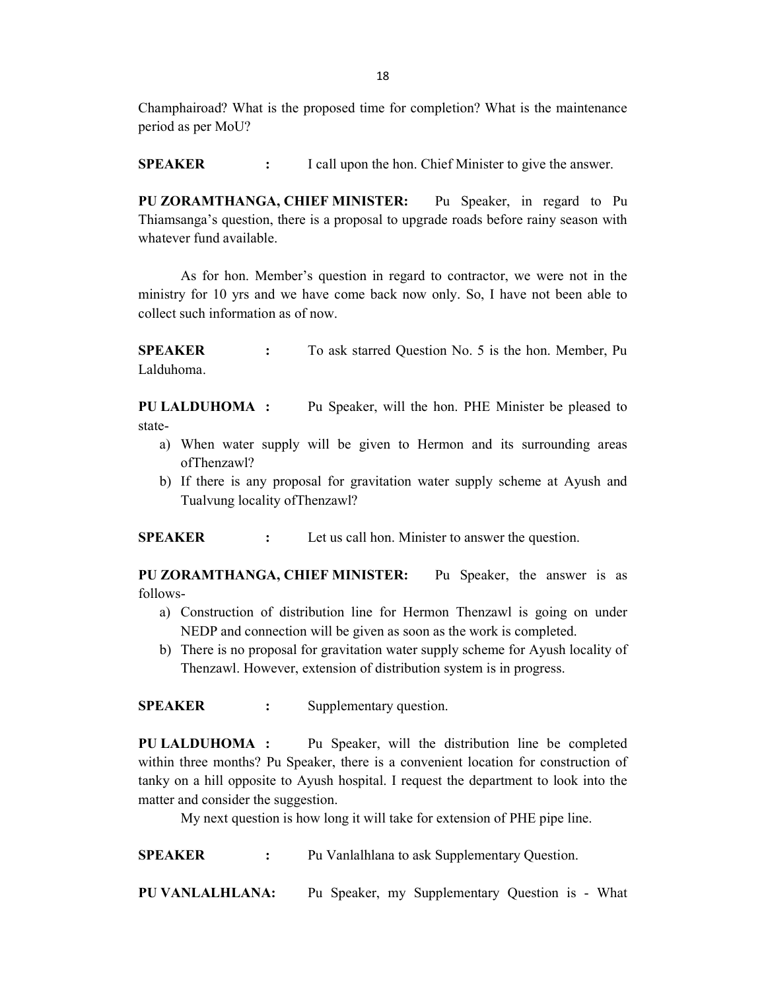Champhairoad? What is the proposed time for completion? What is the maintenance period as per MoU?

**SPEAKER** : I call upon the hon. Chief Minister to give the answer.

PU ZORAMTHANGA, CHIEF MINISTER: Pu Speaker, in regard to Pu Thiamsanga's question, there is a proposal to upgrade roads before rainy season with whatever fund available.

 As for hon. Member's question in regard to contractor, we were not in the ministry for 10 yrs and we have come back now only. So, I have not been able to collect such information as of now.

SPEAKER : To ask starred Question No. 5 is the hon. Member, Pu Lalduhoma.

PU LALDUHOMA : Pu Speaker, will the hon. PHE Minister be pleased to state-

- a) When water supply will be given to Hermon and its surrounding areas ofThenzawl?
- b) If there is any proposal for gravitation water supply scheme at Ayush and Tualvung locality ofThenzawl?

SPEAKER : Let us call hon. Minister to answer the question.

PU ZORAMTHANGA, CHIEF MINISTER: Pu Speaker, the answer is as follows-

- a) Construction of distribution line for Hermon Thenzawl is going on under NEDP and connection will be given as soon as the work is completed.
- b) There is no proposal for gravitation water supply scheme for Ayush locality of Thenzawl. However, extension of distribution system is in progress.

SPEAKER : Supplementary question.

PU LALDUHOMA : Pu Speaker, will the distribution line be completed within three months? Pu Speaker, there is a convenient location for construction of tanky on a hill opposite to Ayush hospital. I request the department to look into the matter and consider the suggestion.

My next question is how long it will take for extension of PHE pipe line.

SPEAKER : Pu Vanlalhlana to ask Supplementary Ouestion.

PU VANLALHLANA: Pu Speaker, my Supplementary Question is - What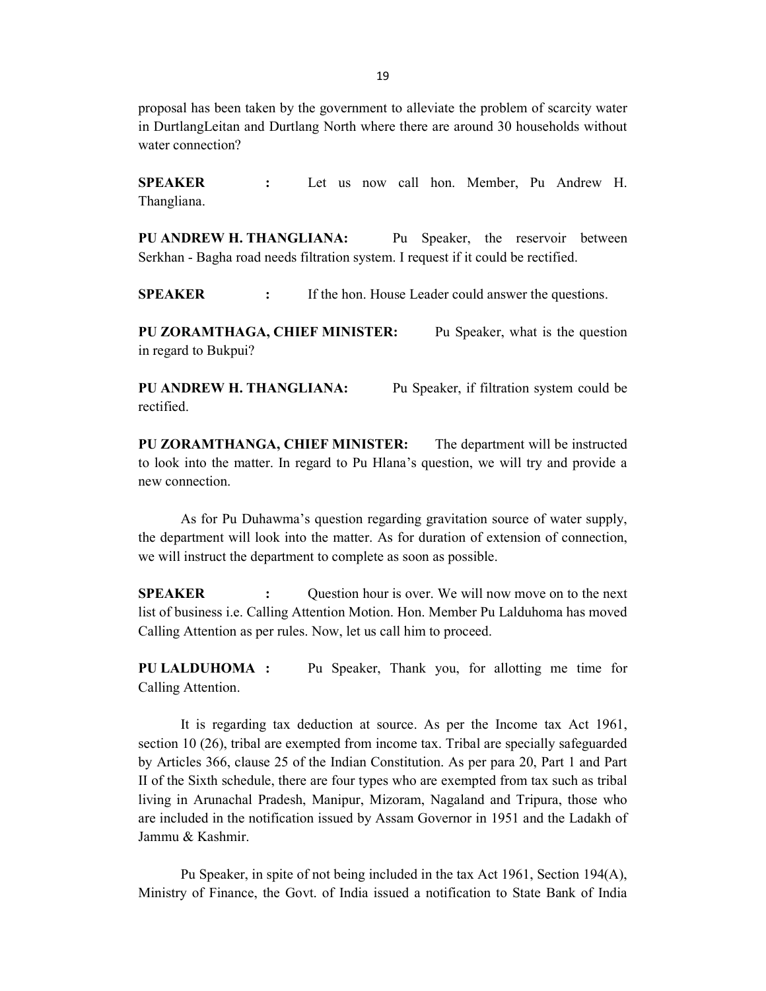proposal has been taken by the government to alleviate the problem of scarcity water in DurtlangLeitan and Durtlang North where there are around 30 households without water connection?

SPEAKER : Let us now call hon. Member, Pu Andrew H. Thangliana.

PU ANDREW H. THANGLIANA: Pu Speaker, the reservoir between Serkhan - Bagha road needs filtration system. I request if it could be rectified.

SPEAKER : If the hon. House Leader could answer the questions.

PU ZORAMTHAGA, CHIEF MINISTER: Pu Speaker, what is the question in regard to Bukpui?

PU ANDREW H. THANGLIANA: Pu Speaker, if filtration system could be rectified.

PU ZORAMTHANGA, CHIEF MINISTER: The department will be instructed to look into the matter. In regard to Pu Hlana's question, we will try and provide a new connection.

As for Pu Duhawma's question regarding gravitation source of water supply, the department will look into the matter. As for duration of extension of connection, we will instruct the department to complete as soon as possible.

**SPEAKER** : Question hour is over. We will now move on to the next list of business i.e. Calling Attention Motion. Hon. Member Pu Lalduhoma has moved Calling Attention as per rules. Now, let us call him to proceed.

PU LALDUHOMA : Pu Speaker, Thank you, for allotting me time for Calling Attention.

 It is regarding tax deduction at source. As per the Income tax Act 1961, section 10 (26), tribal are exempted from income tax. Tribal are specially safeguarded by Articles 366, clause 25 of the Indian Constitution. As per para 20, Part 1 and Part II of the Sixth schedule, there are four types who are exempted from tax such as tribal living in Arunachal Pradesh, Manipur, Mizoram, Nagaland and Tripura, those who are included in the notification issued by Assam Governor in 1951 and the Ladakh of Jammu & Kashmir.

 Pu Speaker, in spite of not being included in the tax Act 1961, Section 194(A), Ministry of Finance, the Govt. of India issued a notification to State Bank of India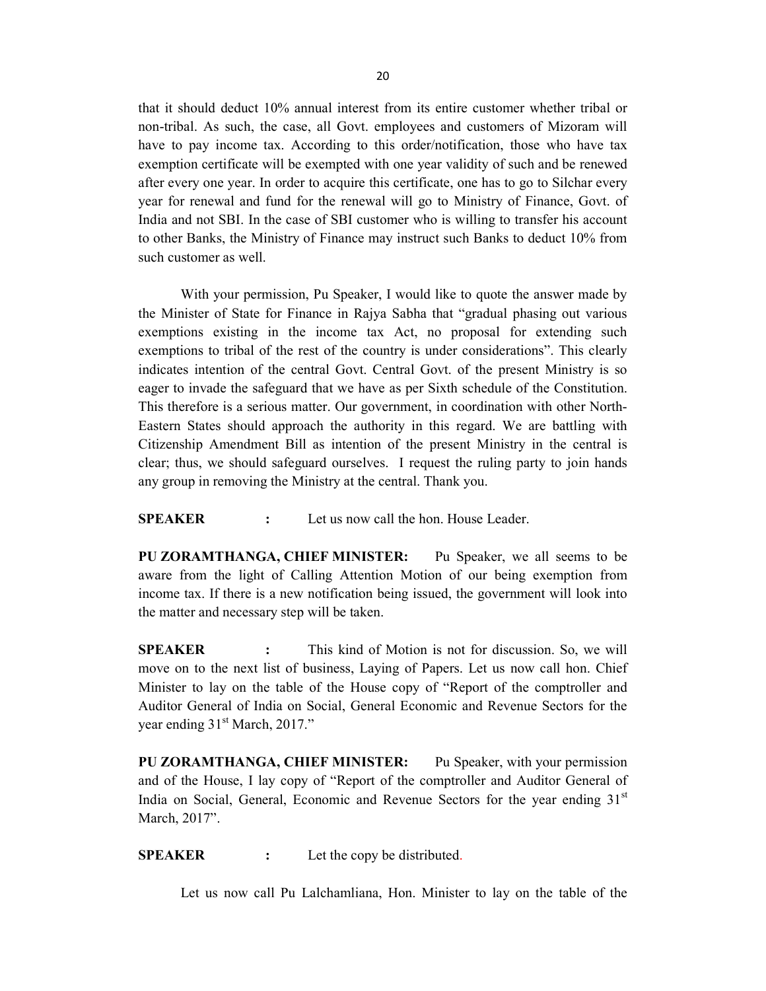that it should deduct 10% annual interest from its entire customer whether tribal or non-tribal. As such, the case, all Govt. employees and customers of Mizoram will have to pay income tax. According to this order/notification, those who have tax exemption certificate will be exempted with one year validity of such and be renewed after every one year. In order to acquire this certificate, one has to go to Silchar every year for renewal and fund for the renewal will go to Ministry of Finance, Govt. of India and not SBI. In the case of SBI customer who is willing to transfer his account to other Banks, the Ministry of Finance may instruct such Banks to deduct 10% from such customer as well.

 With your permission, Pu Speaker, I would like to quote the answer made by the Minister of State for Finance in Rajya Sabha that "gradual phasing out various exemptions existing in the income tax Act, no proposal for extending such exemptions to tribal of the rest of the country is under considerations". This clearly indicates intention of the central Govt. Central Govt. of the present Ministry is so eager to invade the safeguard that we have as per Sixth schedule of the Constitution. This therefore is a serious matter. Our government, in coordination with other North-Eastern States should approach the authority in this regard. We are battling with Citizenship Amendment Bill as intention of the present Ministry in the central is clear; thus, we should safeguard ourselves. I request the ruling party to join hands any group in removing the Ministry at the central. Thank you.

SPEAKER : Let us now call the hon. House Leader.

PU ZORAMTHANGA, CHIEF MINISTER: Pu Speaker, we all seems to be aware from the light of Calling Attention Motion of our being exemption from income tax. If there is a new notification being issued, the government will look into the matter and necessary step will be taken.

SPEAKER : This kind of Motion is not for discussion. So, we will move on to the next list of business, Laying of Papers. Let us now call hon. Chief Minister to lay on the table of the House copy of "Report of the comptroller and Auditor General of India on Social, General Economic and Revenue Sectors for the year ending 31<sup>st</sup> March, 2017."

PU ZORAMTHANGA, CHIEF MINISTER: Pu Speaker, with your permission and of the House, I lay copy of "Report of the comptroller and Auditor General of India on Social, General, Economic and Revenue Sectors for the year ending  $31<sup>st</sup>$ March, 2017".

SPEAKER : Let the copy be distributed.

Let us now call Pu Lalchamliana, Hon. Minister to lay on the table of the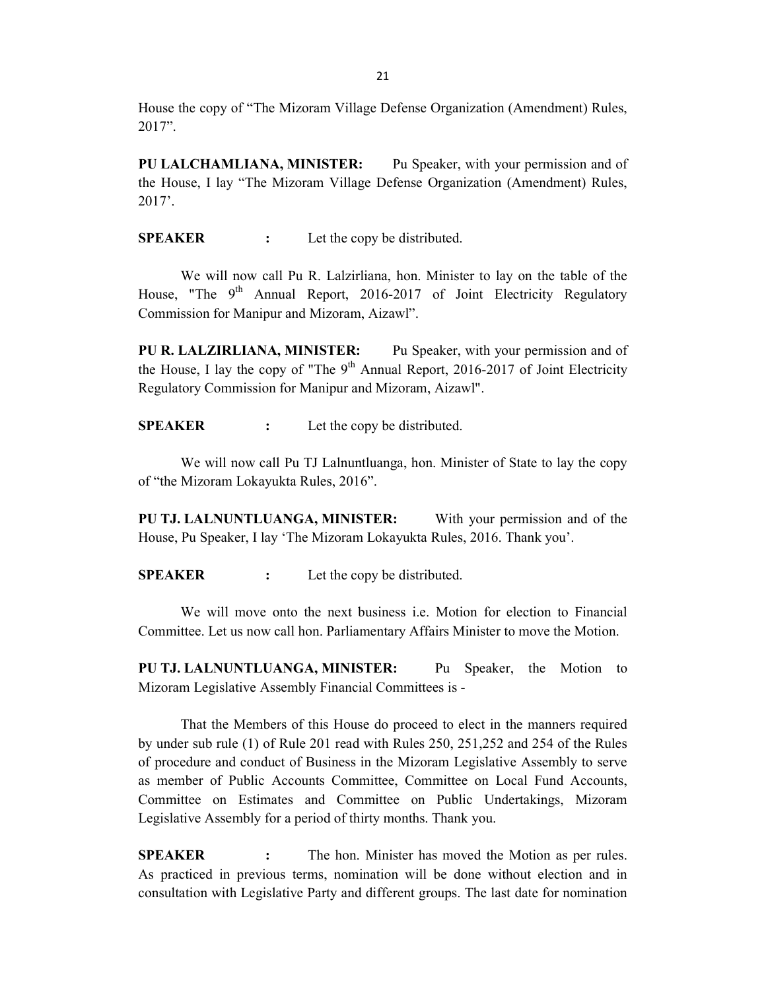House the copy of "The Mizoram Village Defense Organization (Amendment) Rules, 2017".

PU LALCHAMLIANA, MINISTER: Pu Speaker, with your permission and of the House, I lay "The Mizoram Village Defense Organization (Amendment) Rules, 2017'.

SPEAKER : Let the copy be distributed.

 We will now call Pu R. Lalzirliana, hon. Minister to lay on the table of the House, "The  $9<sup>th</sup>$  Annual Report, 2016-2017 of Joint Electricity Regulatory Commission for Manipur and Mizoram, Aizawl".

PU R. LALZIRLIANA, MINISTER: Pu Speaker, with your permission and of the House, I lay the copy of "The  $9<sup>th</sup>$  Annual Report, 2016-2017 of Joint Electricity Regulatory Commission for Manipur and Mizoram, Aizawl".

SPEAKER : Let the copy be distributed.

We will now call Pu TJ Lalnuntluanga, hon. Minister of State to lay the copy of "the Mizoram Lokayukta Rules, 2016".

PU TJ. LALNUNTLUANGA, MINISTER: With your permission and of the House, Pu Speaker, I lay 'The Mizoram Lokayukta Rules, 2016. Thank you'.

SPEAKER : Let the copy be distributed.

We will move onto the next business i.e. Motion for election to Financial Committee. Let us now call hon. Parliamentary Affairs Minister to move the Motion.

PU TJ. LALNUNTLUANGA, MINISTER: Pu Speaker, the Motion to Mizoram Legislative Assembly Financial Committees is -

 That the Members of this House do proceed to elect in the manners required by under sub rule (1) of Rule 201 read with Rules 250, 251,252 and 254 of the Rules of procedure and conduct of Business in the Mizoram Legislative Assembly to serve as member of Public Accounts Committee, Committee on Local Fund Accounts, Committee on Estimates and Committee on Public Undertakings, Mizoram Legislative Assembly for a period of thirty months. Thank you.

SPEAKER : The hon. Minister has moved the Motion as per rules. As practiced in previous terms, nomination will be done without election and in consultation with Legislative Party and different groups. The last date for nomination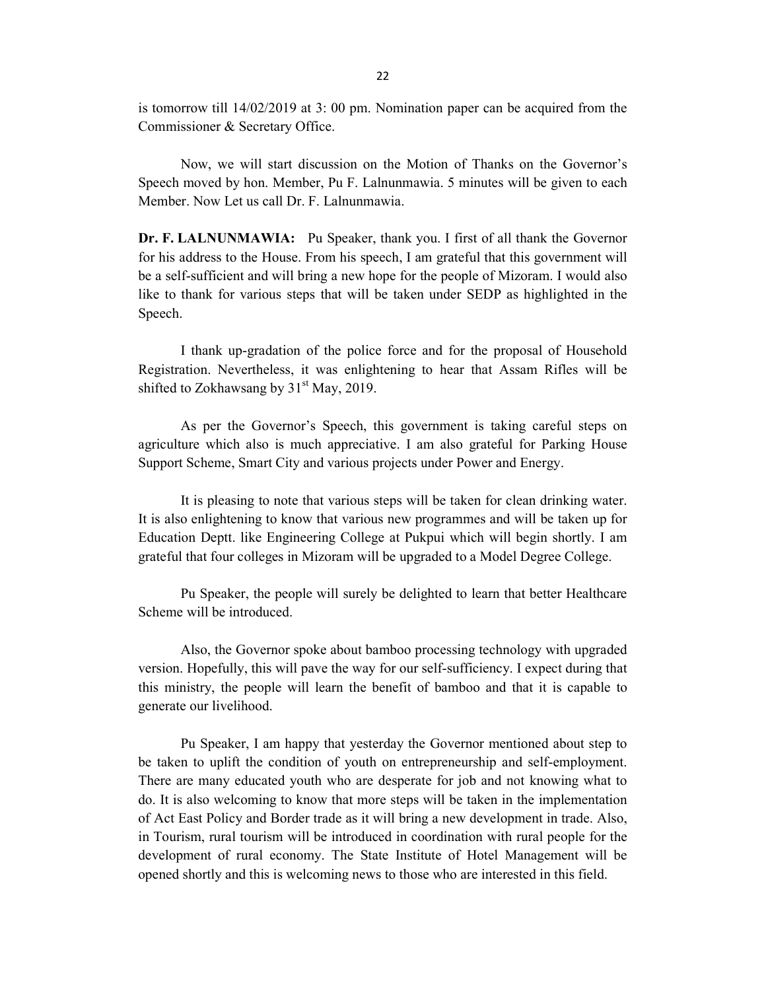is tomorrow till 14/02/2019 at 3: 00 pm. Nomination paper can be acquired from the Commissioner & Secretary Office.

 Now, we will start discussion on the Motion of Thanks on the Governor's Speech moved by hon. Member, Pu F. Lalnunmawia. 5 minutes will be given to each Member. Now Let us call Dr. F. Lalnunmawia.

Dr. F. LALNUNMAWIA: Pu Speaker, thank you. I first of all thank the Governor for his address to the House. From his speech, I am grateful that this government will be a self-sufficient and will bring a new hope for the people of Mizoram. I would also like to thank for various steps that will be taken under SEDP as highlighted in the Speech.

 I thank up-gradation of the police force and for the proposal of Household Registration. Nevertheless, it was enlightening to hear that Assam Rifles will be shifted to Zokhawsang by  $31<sup>st</sup>$  May, 2019.

As per the Governor's Speech, this government is taking careful steps on agriculture which also is much appreciative. I am also grateful for Parking House Support Scheme, Smart City and various projects under Power and Energy.

 It is pleasing to note that various steps will be taken for clean drinking water. It is also enlightening to know that various new programmes and will be taken up for Education Deptt. like Engineering College at Pukpui which will begin shortly. I am grateful that four colleges in Mizoram will be upgraded to a Model Degree College.

Pu Speaker, the people will surely be delighted to learn that better Healthcare Scheme will be introduced.

 Also, the Governor spoke about bamboo processing technology with upgraded version. Hopefully, this will pave the way for our self-sufficiency. I expect during that this ministry, the people will learn the benefit of bamboo and that it is capable to generate our livelihood.

Pu Speaker, I am happy that yesterday the Governor mentioned about step to be taken to uplift the condition of youth on entrepreneurship and self-employment. There are many educated youth who are desperate for job and not knowing what to do. It is also welcoming to know that more steps will be taken in the implementation of Act East Policy and Border trade as it will bring a new development in trade. Also, in Tourism, rural tourism will be introduced in coordination with rural people for the development of rural economy. The State Institute of Hotel Management will be opened shortly and this is welcoming news to those who are interested in this field.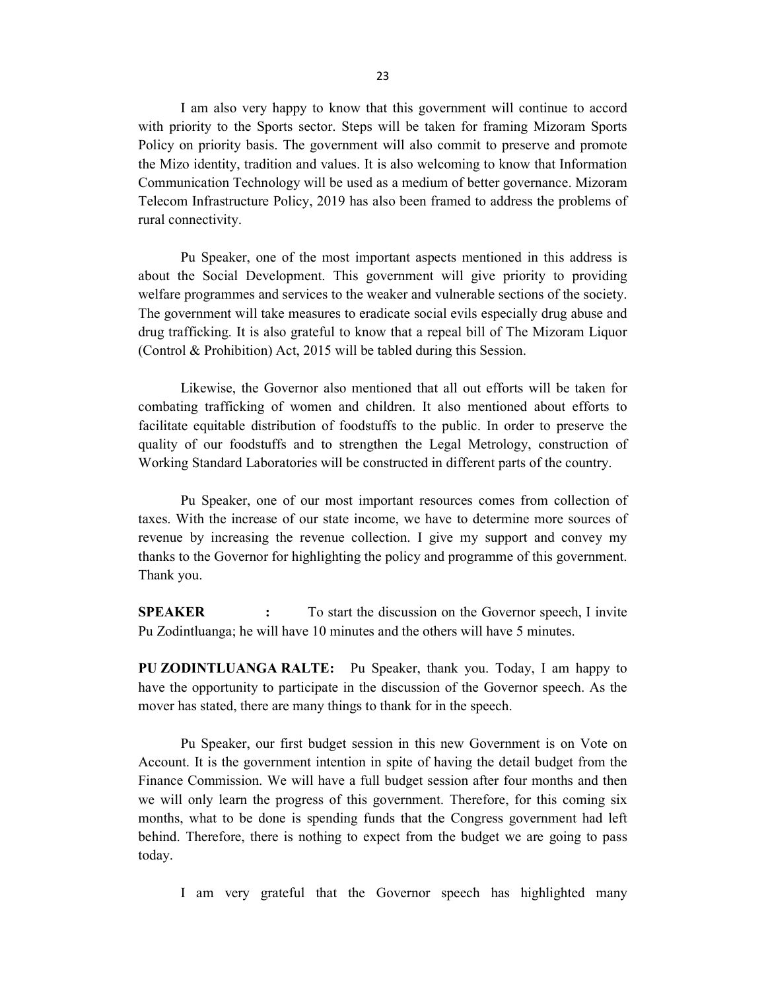I am also very happy to know that this government will continue to accord with priority to the Sports sector. Steps will be taken for framing Mizoram Sports Policy on priority basis. The government will also commit to preserve and promote the Mizo identity, tradition and values. It is also welcoming to know that Information Communication Technology will be used as a medium of better governance. Mizoram Telecom Infrastructure Policy, 2019 has also been framed to address the problems of rural connectivity.

Pu Speaker, one of the most important aspects mentioned in this address is about the Social Development. This government will give priority to providing welfare programmes and services to the weaker and vulnerable sections of the society. The government will take measures to eradicate social evils especially drug abuse and drug trafficking. It is also grateful to know that a repeal bill of The Mizoram Liquor (Control & Prohibition) Act, 2015 will be tabled during this Session.

Likewise, the Governor also mentioned that all out efforts will be taken for combating trafficking of women and children. It also mentioned about efforts to facilitate equitable distribution of foodstuffs to the public. In order to preserve the quality of our foodstuffs and to strengthen the Legal Metrology, construction of Working Standard Laboratories will be constructed in different parts of the country.

 Pu Speaker, one of our most important resources comes from collection of taxes. With the increase of our state income, we have to determine more sources of revenue by increasing the revenue collection. I give my support and convey my thanks to the Governor for highlighting the policy and programme of this government. Thank you.

SPEAKER : To start the discussion on the Governor speech, I invite Pu Zodintluanga; he will have 10 minutes and the others will have 5 minutes.

PU ZODINTLUANGA RALTE: Pu Speaker, thank you. Today, I am happy to have the opportunity to participate in the discussion of the Governor speech. As the mover has stated, there are many things to thank for in the speech.

Pu Speaker, our first budget session in this new Government is on Vote on Account. It is the government intention in spite of having the detail budget from the Finance Commission. We will have a full budget session after four months and then we will only learn the progress of this government. Therefore, for this coming six months, what to be done is spending funds that the Congress government had left behind. Therefore, there is nothing to expect from the budget we are going to pass today.

I am very grateful that the Governor speech has highlighted many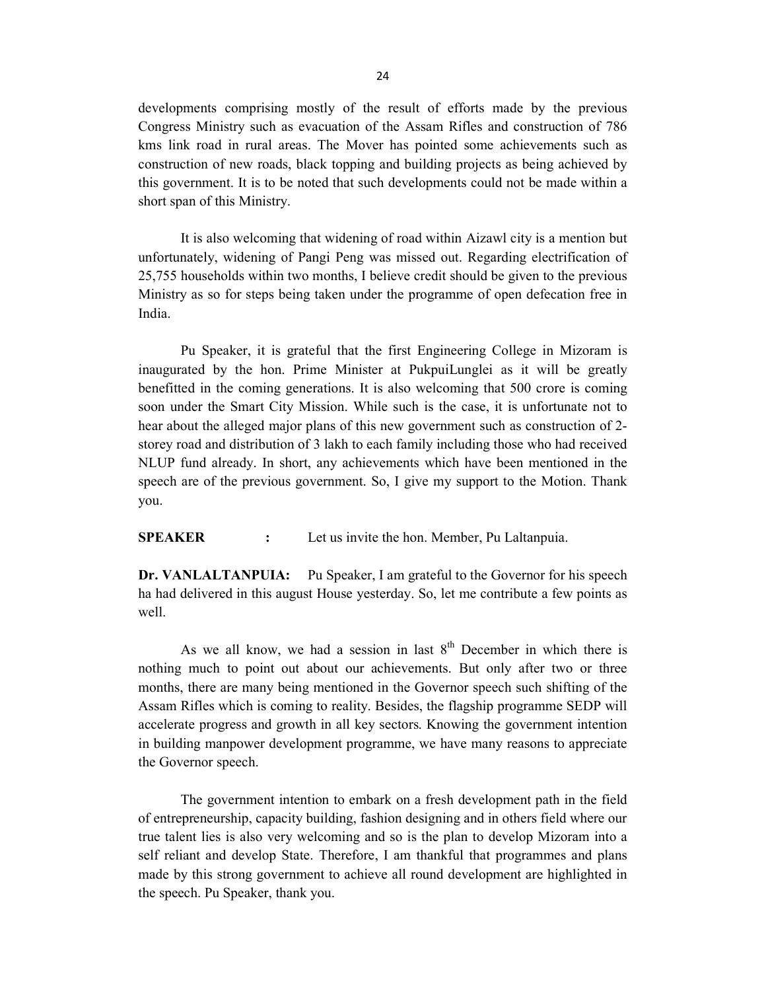developments comprising mostly of the result of efforts made by the previous Congress Ministry such as evacuation of the Assam Rifles and construction of 786 kms link road in rural areas. The Mover has pointed some achievements such as construction of new roads, black topping and building projects as being achieved by this government. It is to be noted that such developments could not be made within a short span of this Ministry.

It is also welcoming that widening of road within Aizawl city is a mention but unfortunately, widening of Pangi Peng was missed out. Regarding electrification of 25,755 households within two months, I believe credit should be given to the previous Ministry as so for steps being taken under the programme of open defecation free in India.

Pu Speaker, it is grateful that the first Engineering College in Mizoram is inaugurated by the hon. Prime Minister at PukpuiLunglei as it will be greatly benefitted in the coming generations. It is also welcoming that 500 crore is coming soon under the Smart City Mission. While such is the case, it is unfortunate not to hear about the alleged major plans of this new government such as construction of 2 storey road and distribution of 3 lakh to each family including those who had received NLUP fund already. In short, any achievements which have been mentioned in the speech are of the previous government. So, I give my support to the Motion. Thank you.

SPEAKER : Let us invite the hon. Member, Pu Laltanpuia.

Dr. VANLALTANPUIA: Pu Speaker, I am grateful to the Governor for his speech ha had delivered in this august House yesterday. So, let me contribute a few points as well.

As we all know, we had a session in last  $8<sup>th</sup>$  December in which there is nothing much to point out about our achievements. But only after two or three months, there are many being mentioned in the Governor speech such shifting of the Assam Rifles which is coming to reality. Besides, the flagship programme SEDP will accelerate progress and growth in all key sectors. Knowing the government intention in building manpower development programme, we have many reasons to appreciate the Governor speech.

The government intention to embark on a fresh development path in the field of entrepreneurship, capacity building, fashion designing and in others field where our true talent lies is also very welcoming and so is the plan to develop Mizoram into a self reliant and develop State. Therefore, I am thankful that programmes and plans made by this strong government to achieve all round development are highlighted in the speech. Pu Speaker, thank you.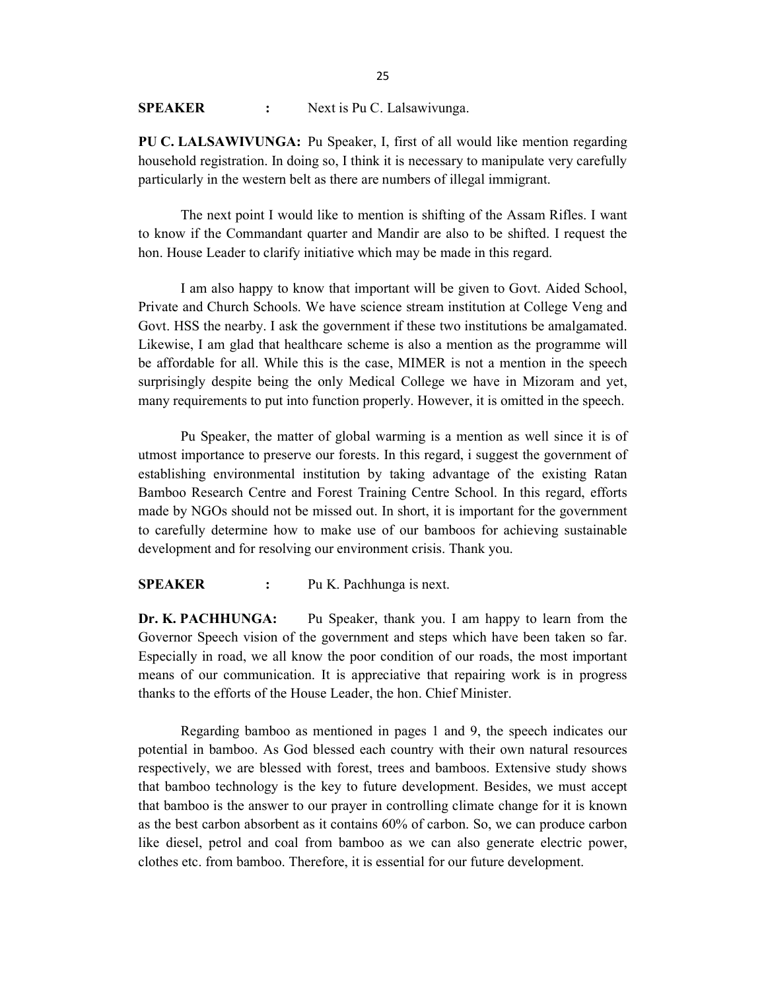#### SPEAKER : Next is Pu C. Lalsawivunga.

PU C. LALSAWIVUNGA: Pu Speaker, I, first of all would like mention regarding household registration. In doing so, I think it is necessary to manipulate very carefully particularly in the western belt as there are numbers of illegal immigrant.

 The next point I would like to mention is shifting of the Assam Rifles. I want to know if the Commandant quarter and Mandir are also to be shifted. I request the hon. House Leader to clarify initiative which may be made in this regard.

 I am also happy to know that important will be given to Govt. Aided School, Private and Church Schools. We have science stream institution at College Veng and Govt. HSS the nearby. I ask the government if these two institutions be amalgamated. Likewise, I am glad that healthcare scheme is also a mention as the programme will be affordable for all. While this is the case, MIMER is not a mention in the speech surprisingly despite being the only Medical College we have in Mizoram and yet, many requirements to put into function properly. However, it is omitted in the speech.

 Pu Speaker, the matter of global warming is a mention as well since it is of utmost importance to preserve our forests. In this regard, i suggest the government of establishing environmental institution by taking advantage of the existing Ratan Bamboo Research Centre and Forest Training Centre School. In this regard, efforts made by NGOs should not be missed out. In short, it is important for the government to carefully determine how to make use of our bamboos for achieving sustainable development and for resolving our environment crisis. Thank you.

#### SPEAKER : Pu K. Pachhunga is next.

Dr. K. PACHHUNGA: Pu Speaker, thank you. I am happy to learn from the Governor Speech vision of the government and steps which have been taken so far. Especially in road, we all know the poor condition of our roads, the most important means of our communication. It is appreciative that repairing work is in progress thanks to the efforts of the House Leader, the hon. Chief Minister.

Regarding bamboo as mentioned in pages 1 and 9, the speech indicates our potential in bamboo. As God blessed each country with their own natural resources respectively, we are blessed with forest, trees and bamboos. Extensive study shows that bamboo technology is the key to future development. Besides, we must accept that bamboo is the answer to our prayer in controlling climate change for it is known as the best carbon absorbent as it contains 60% of carbon. So, we can produce carbon like diesel, petrol and coal from bamboo as we can also generate electric power, clothes etc. from bamboo. Therefore, it is essential for our future development.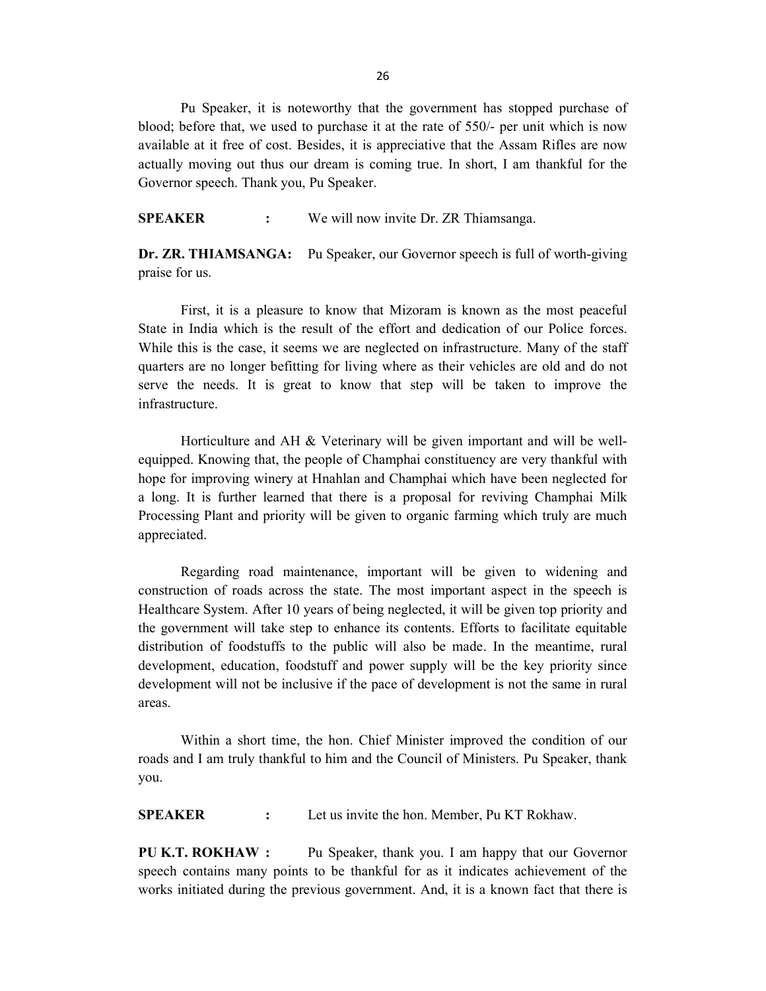26

Pu Speaker, it is noteworthy that the government has stopped purchase of blood; before that, we used to purchase it at the rate of 550/- per unit which is now available at it free of cost. Besides, it is appreciative that the Assam Rifles are now actually moving out thus our dream is coming true. In short, I am thankful for the Governor speech. Thank you, Pu Speaker.

SPEAKER : We will now invite Dr. ZR Thiamsanga.

Dr. ZR. THIAMSANGA: Pu Speaker, our Governor speech is full of worth-giving praise for us.

 First, it is a pleasure to know that Mizoram is known as the most peaceful State in India which is the result of the effort and dedication of our Police forces. While this is the case, it seems we are neglected on infrastructure. Many of the staff quarters are no longer befitting for living where as their vehicles are old and do not serve the needs. It is great to know that step will be taken to improve the infrastructure.

Horticulture and AH & Veterinary will be given important and will be wellequipped. Knowing that, the people of Champhai constituency are very thankful with hope for improving winery at Hnahlan and Champhai which have been neglected for a long. It is further learned that there is a proposal for reviving Champhai Milk Processing Plant and priority will be given to organic farming which truly are much appreciated.

Regarding road maintenance, important will be given to widening and construction of roads across the state. The most important aspect in the speech is Healthcare System. After 10 years of being neglected, it will be given top priority and the government will take step to enhance its contents. Efforts to facilitate equitable distribution of foodstuffs to the public will also be made. In the meantime, rural development, education, foodstuff and power supply will be the key priority since development will not be inclusive if the pace of development is not the same in rural areas.

Within a short time, the hon. Chief Minister improved the condition of our roads and I am truly thankful to him and the Council of Ministers. Pu Speaker, thank you.

SPEAKER : Let us invite the hon. Member, Pu KT Rokhaw.

PU K.T. ROKHAW : Pu Speaker, thank you. I am happy that our Governor speech contains many points to be thankful for as it indicates achievement of the works initiated during the previous government. And, it is a known fact that there is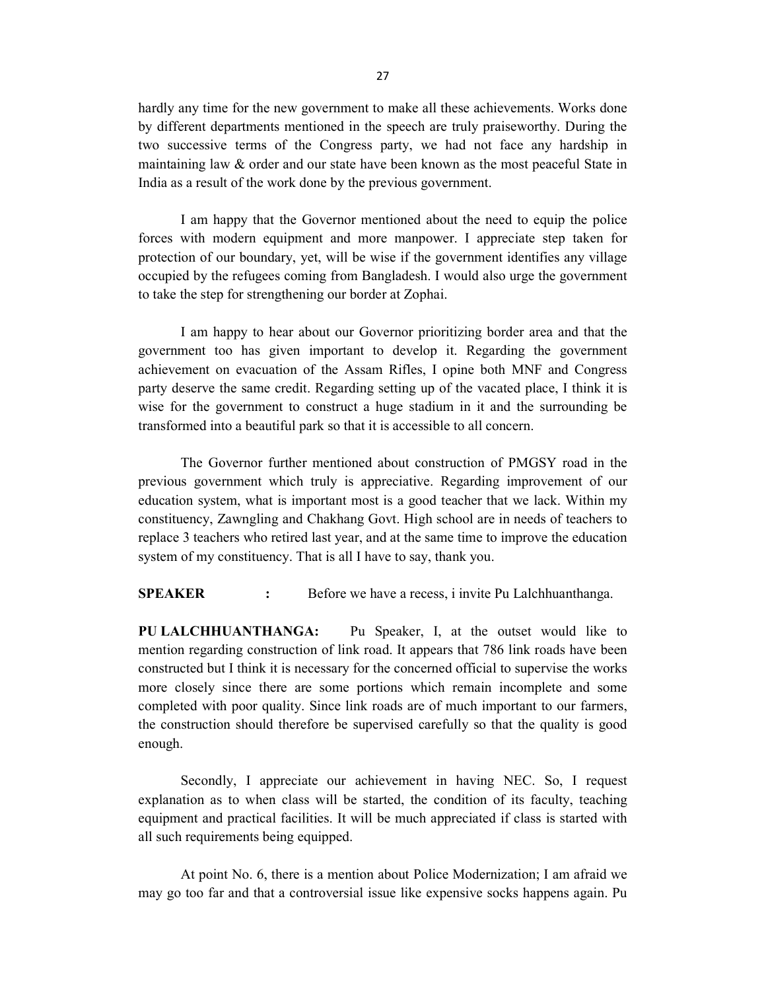hardly any time for the new government to make all these achievements. Works done by different departments mentioned in the speech are truly praiseworthy. During the two successive terms of the Congress party, we had not face any hardship in maintaining law & order and our state have been known as the most peaceful State in India as a result of the work done by the previous government.

I am happy that the Governor mentioned about the need to equip the police forces with modern equipment and more manpower. I appreciate step taken for protection of our boundary, yet, will be wise if the government identifies any village occupied by the refugees coming from Bangladesh. I would also urge the government to take the step for strengthening our border at Zophai.

I am happy to hear about our Governor prioritizing border area and that the government too has given important to develop it. Regarding the government achievement on evacuation of the Assam Rifles, I opine both MNF and Congress party deserve the same credit. Regarding setting up of the vacated place, I think it is wise for the government to construct a huge stadium in it and the surrounding be transformed into a beautiful park so that it is accessible to all concern.

 The Governor further mentioned about construction of PMGSY road in the previous government which truly is appreciative. Regarding improvement of our education system, what is important most is a good teacher that we lack. Within my constituency, Zawngling and Chakhang Govt. High school are in needs of teachers to replace 3 teachers who retired last year, and at the same time to improve the education system of my constituency. That is all I have to say, thank you.

**SPEAKER** : Before we have a recess, i invite Pu Lalchhuanthanga.

PU LALCHHUANTHANGA: Pu Speaker, I, at the outset would like to mention regarding construction of link road. It appears that 786 link roads have been constructed but I think it is necessary for the concerned official to supervise the works more closely since there are some portions which remain incomplete and some completed with poor quality. Since link roads are of much important to our farmers, the construction should therefore be supervised carefully so that the quality is good enough.

 Secondly, I appreciate our achievement in having NEC. So, I request explanation as to when class will be started, the condition of its faculty, teaching equipment and practical facilities. It will be much appreciated if class is started with all such requirements being equipped.

 At point No. 6, there is a mention about Police Modernization; I am afraid we may go too far and that a controversial issue like expensive socks happens again. Pu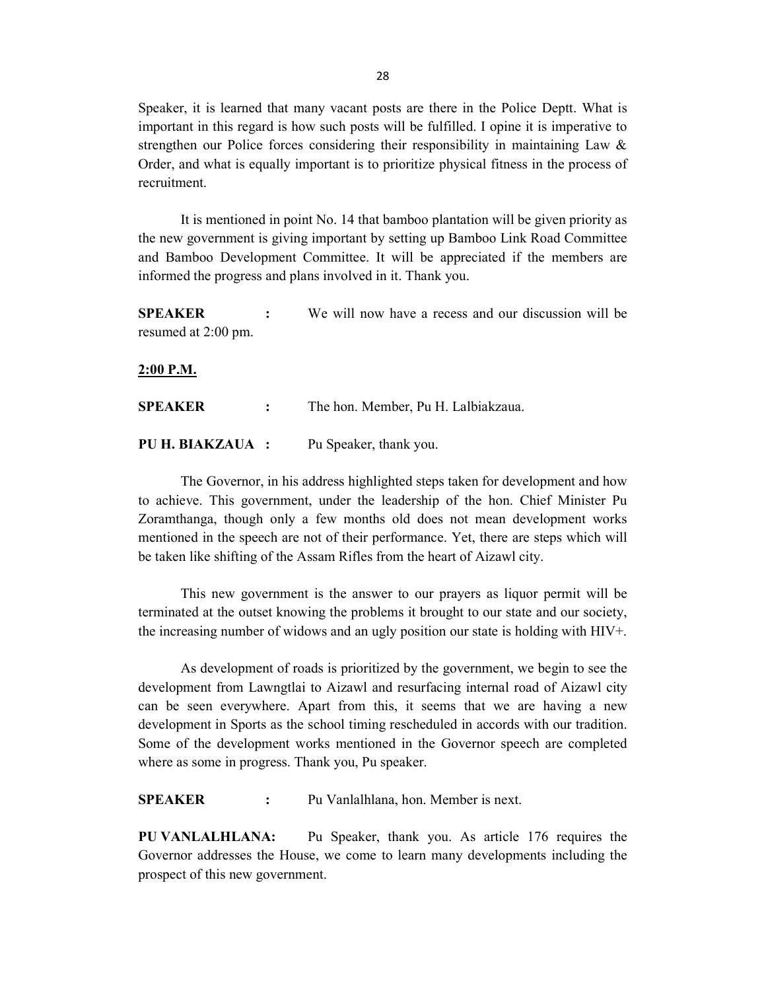Speaker, it is learned that many vacant posts are there in the Police Deptt. What is important in this regard is how such posts will be fulfilled. I opine it is imperative to strengthen our Police forces considering their responsibility in maintaining Law & Order, and what is equally important is to prioritize physical fitness in the process of recruitment.

 It is mentioned in point No. 14 that bamboo plantation will be given priority as the new government is giving important by setting up Bamboo Link Road Committee and Bamboo Development Committee. It will be appreciated if the members are informed the progress and plans involved in it. Thank you.

**SPEAKER** : We will now have a recess and our discussion will be resumed at 2:00 pm.

#### 2:00 P.M.

SPEAKER : The hon. Member, Pu H. Lalbiakzaua.

PU H. BIAKZAUA : Pu Speaker, thank you.

 The Governor, in his address highlighted steps taken for development and how to achieve. This government, under the leadership of the hon. Chief Minister Pu Zoramthanga, though only a few months old does not mean development works mentioned in the speech are not of their performance. Yet, there are steps which will be taken like shifting of the Assam Rifles from the heart of Aizawl city.

This new government is the answer to our prayers as liquor permit will be terminated at the outset knowing the problems it brought to our state and our society, the increasing number of widows and an ugly position our state is holding with HIV+.

 As development of roads is prioritized by the government, we begin to see the development from Lawngtlai to Aizawl and resurfacing internal road of Aizawl city can be seen everywhere. Apart from this, it seems that we are having a new development in Sports as the school timing rescheduled in accords with our tradition. Some of the development works mentioned in the Governor speech are completed where as some in progress. Thank you, Pu speaker.

SPEAKER : Pu Vanlalhlana, hon. Member is next.

PU VANLALHLANA: Pu Speaker, thank you. As article 176 requires the Governor addresses the House, we come to learn many developments including the prospect of this new government.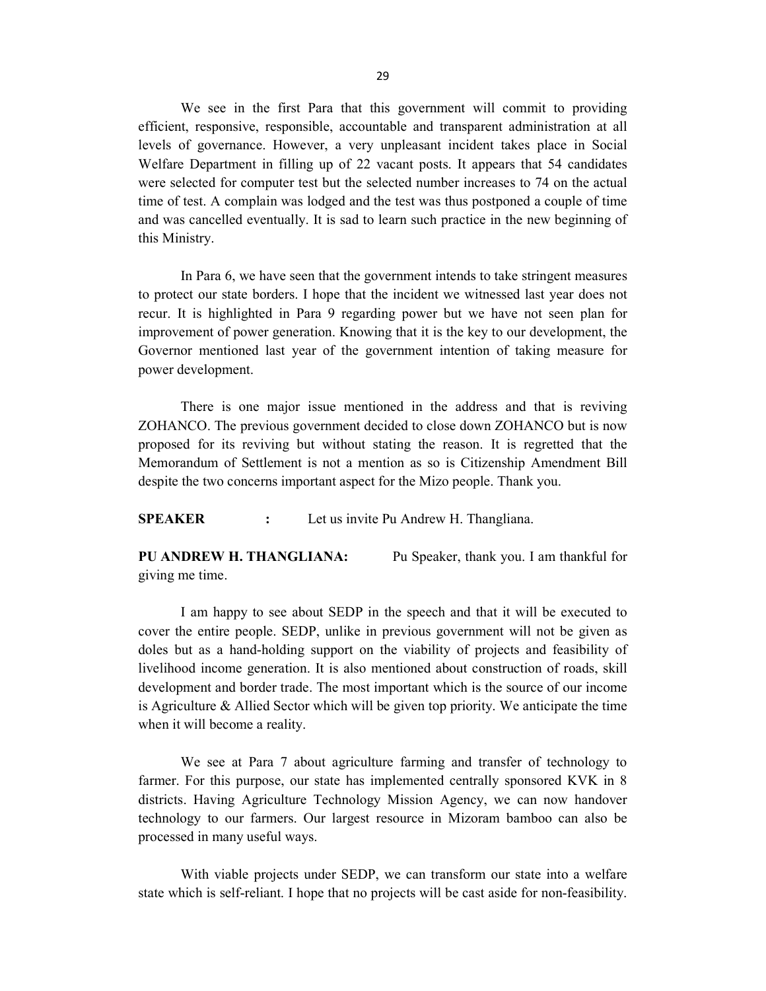We see in the first Para that this government will commit to providing efficient, responsive, responsible, accountable and transparent administration at all levels of governance. However, a very unpleasant incident takes place in Social Welfare Department in filling up of 22 vacant posts. It appears that 54 candidates were selected for computer test but the selected number increases to 74 on the actual time of test. A complain was lodged and the test was thus postponed a couple of time and was cancelled eventually. It is sad to learn such practice in the new beginning of this Ministry.

In Para 6, we have seen that the government intends to take stringent measures to protect our state borders. I hope that the incident we witnessed last year does not recur. It is highlighted in Para 9 regarding power but we have not seen plan for improvement of power generation. Knowing that it is the key to our development, the Governor mentioned last year of the government intention of taking measure for power development.

 There is one major issue mentioned in the address and that is reviving ZOHANCO. The previous government decided to close down ZOHANCO but is now proposed for its reviving but without stating the reason. It is regretted that the Memorandum of Settlement is not a mention as so is Citizenship Amendment Bill despite the two concerns important aspect for the Mizo people. Thank you.

SPEAKER : Let us invite Pu Andrew H. Thangliana.

PU ANDREW H. THANGLIANA: Pu Speaker, thank you. I am thankful for giving me time.

I am happy to see about SEDP in the speech and that it will be executed to cover the entire people. SEDP, unlike in previous government will not be given as doles but as a hand-holding support on the viability of projects and feasibility of livelihood income generation. It is also mentioned about construction of roads, skill development and border trade. The most important which is the source of our income is Agriculture & Allied Sector which will be given top priority. We anticipate the time when it will become a reality.

We see at Para 7 about agriculture farming and transfer of technology to farmer. For this purpose, our state has implemented centrally sponsored KVK in 8 districts. Having Agriculture Technology Mission Agency, we can now handover technology to our farmers. Our largest resource in Mizoram bamboo can also be processed in many useful ways.

 With viable projects under SEDP, we can transform our state into a welfare state which is self-reliant. I hope that no projects will be cast aside for non-feasibility.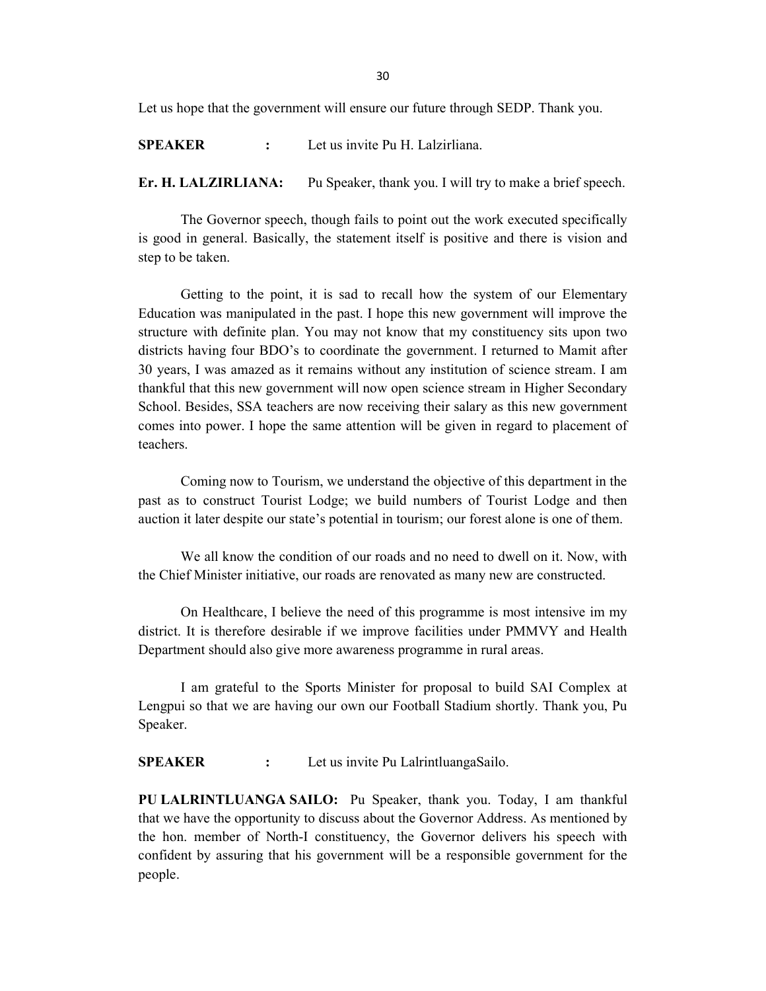Let us hope that the government will ensure our future through SEDP. Thank you.

SPEAKER : Let us invite Pu H. Lalzirliana.

Er. H. LALZIRLIANA: Pu Speaker, thank you. I will try to make a brief speech.

 The Governor speech, though fails to point out the work executed specifically is good in general. Basically, the statement itself is positive and there is vision and step to be taken.

Getting to the point, it is sad to recall how the system of our Elementary Education was manipulated in the past. I hope this new government will improve the structure with definite plan. You may not know that my constituency sits upon two districts having four BDO's to coordinate the government. I returned to Mamit after 30 years, I was amazed as it remains without any institution of science stream. I am thankful that this new government will now open science stream in Higher Secondary School. Besides, SSA teachers are now receiving their salary as this new government comes into power. I hope the same attention will be given in regard to placement of teachers.

Coming now to Tourism, we understand the objective of this department in the past as to construct Tourist Lodge; we build numbers of Tourist Lodge and then auction it later despite our state's potential in tourism; our forest alone is one of them.

 We all know the condition of our roads and no need to dwell on it. Now, with the Chief Minister initiative, our roads are renovated as many new are constructed.

 On Healthcare, I believe the need of this programme is most intensive im my district. It is therefore desirable if we improve facilities under PMMVY and Health Department should also give more awareness programme in rural areas.

I am grateful to the Sports Minister for proposal to build SAI Complex at Lengpui so that we are having our own our Football Stadium shortly. Thank you, Pu Speaker.

SPEAKER : Let us invite Pu LalrintluangaSailo.

PU LALRINTLUANGA SAILO: Pu Speaker, thank you. Today, I am thankful that we have the opportunity to discuss about the Governor Address. As mentioned by the hon. member of North-I constituency, the Governor delivers his speech with confident by assuring that his government will be a responsible government for the people.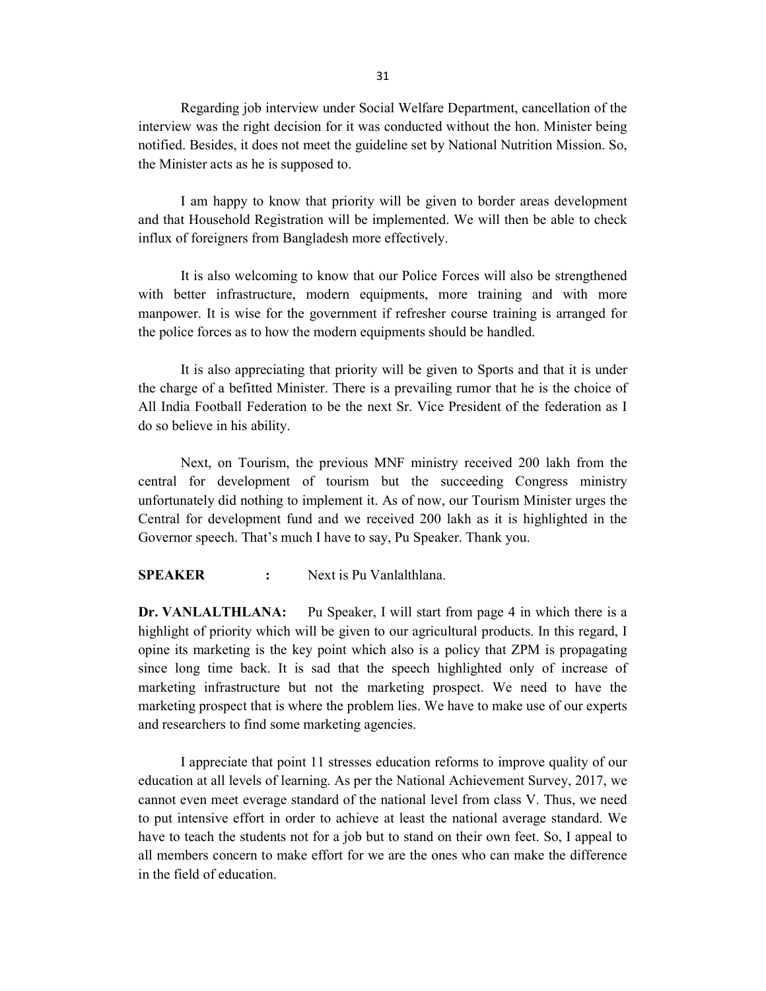Regarding job interview under Social Welfare Department, cancellation of the interview was the right decision for it was conducted without the hon. Minister being notified. Besides, it does not meet the guideline set by National Nutrition Mission. So, the Minister acts as he is supposed to.

 I am happy to know that priority will be given to border areas development and that Household Registration will be implemented. We will then be able to check influx of foreigners from Bangladesh more effectively.

 It is also welcoming to know that our Police Forces will also be strengthened with better infrastructure, modern equipments, more training and with more manpower. It is wise for the government if refresher course training is arranged for the police forces as to how the modern equipments should be handled.

 It is also appreciating that priority will be given to Sports and that it is under the charge of a befitted Minister. There is a prevailing rumor that he is the choice of All India Football Federation to be the next Sr. Vice President of the federation as I do so believe in his ability.

Next, on Tourism, the previous MNF ministry received 200 lakh from the central for development of tourism but the succeeding Congress ministry unfortunately did nothing to implement it. As of now, our Tourism Minister urges the Central for development fund and we received 200 lakh as it is highlighted in the Governor speech. That's much I have to say, Pu Speaker. Thank you.

#### SPEAKER : Next is Pu Vanlalthlana.

Dr. VANLALTHLANA: Pu Speaker, I will start from page 4 in which there is a highlight of priority which will be given to our agricultural products. In this regard, I opine its marketing is the key point which also is a policy that ZPM is propagating since long time back. It is sad that the speech highlighted only of increase of marketing infrastructure but not the marketing prospect. We need to have the marketing prospect that is where the problem lies. We have to make use of our experts and researchers to find some marketing agencies.

I appreciate that point 11 stresses education reforms to improve quality of our education at all levels of learning. As per the National Achievement Survey, 2017, we cannot even meet everage standard of the national level from class V. Thus, we need to put intensive effort in order to achieve at least the national average standard. We have to teach the students not for a job but to stand on their own feet. So, I appeal to all members concern to make effort for we are the ones who can make the difference in the field of education.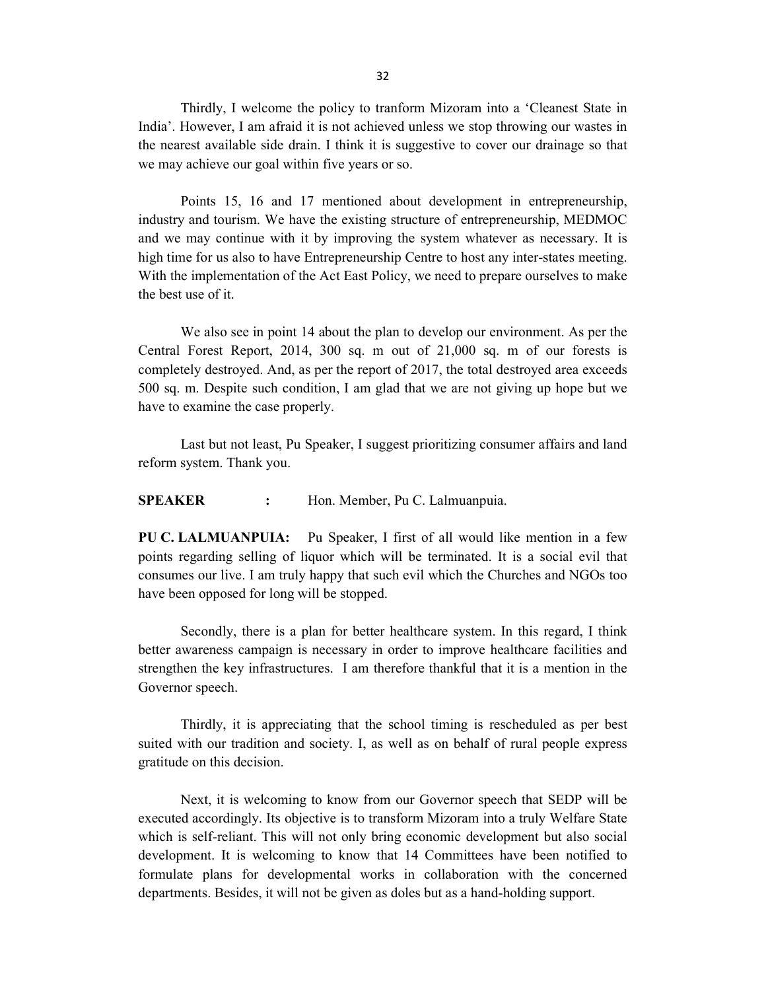Thirdly, I welcome the policy to tranform Mizoram into a 'Cleanest State in India'. However, I am afraid it is not achieved unless we stop throwing our wastes in the nearest available side drain. I think it is suggestive to cover our drainage so that we may achieve our goal within five years or so.

Points 15, 16 and 17 mentioned about development in entrepreneurship, industry and tourism. We have the existing structure of entrepreneurship, MEDMOC and we may continue with it by improving the system whatever as necessary. It is high time for us also to have Entrepreneurship Centre to host any inter-states meeting. With the implementation of the Act East Policy, we need to prepare ourselves to make the best use of it.

We also see in point 14 about the plan to develop our environment. As per the Central Forest Report, 2014, 300 sq. m out of 21,000 sq. m of our forests is completely destroyed. And, as per the report of 2017, the total destroyed area exceeds 500 sq. m. Despite such condition, I am glad that we are not giving up hope but we have to examine the case properly.

Last but not least, Pu Speaker, I suggest prioritizing consumer affairs and land reform system. Thank you.

SPEAKER : Hon. Member, Pu C. Lalmuanpuia.

PU C. LALMUANPUIA: Pu Speaker, I first of all would like mention in a few points regarding selling of liquor which will be terminated. It is a social evil that consumes our live. I am truly happy that such evil which the Churches and NGOs too have been opposed for long will be stopped.

Secondly, there is a plan for better healthcare system. In this regard, I think better awareness campaign is necessary in order to improve healthcare facilities and strengthen the key infrastructures. I am therefore thankful that it is a mention in the Governor speech.

Thirdly, it is appreciating that the school timing is rescheduled as per best suited with our tradition and society. I, as well as on behalf of rural people express gratitude on this decision.

Next, it is welcoming to know from our Governor speech that SEDP will be executed accordingly. Its objective is to transform Mizoram into a truly Welfare State which is self-reliant. This will not only bring economic development but also social development. It is welcoming to know that 14 Committees have been notified to formulate plans for developmental works in collaboration with the concerned departments. Besides, it will not be given as doles but as a hand-holding support.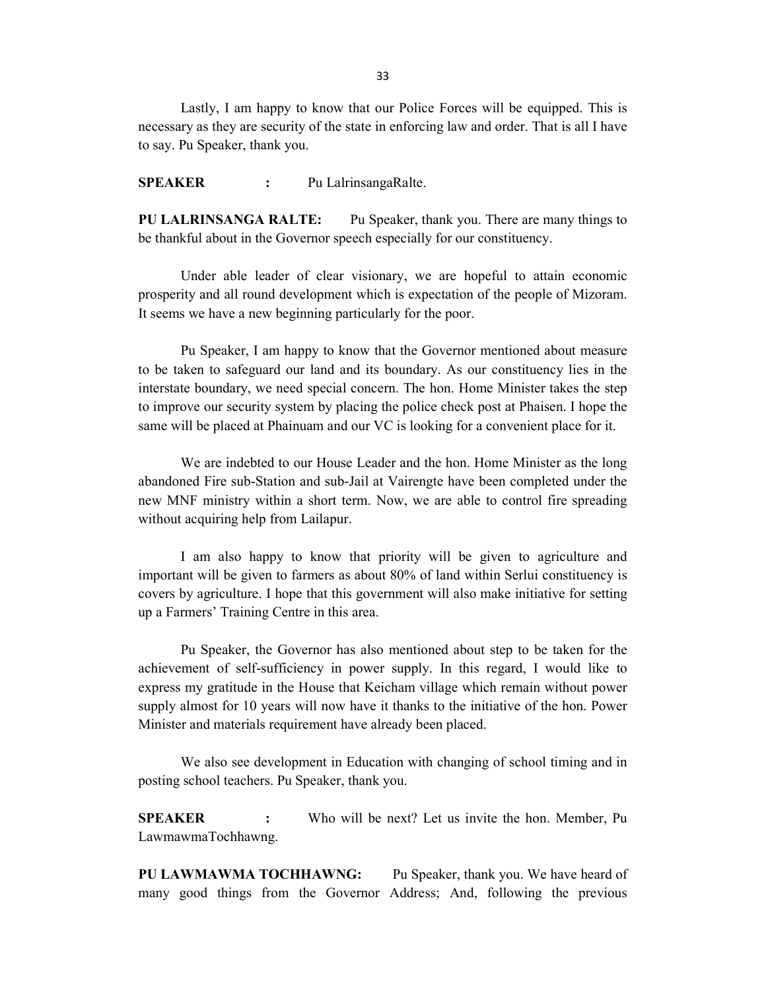Lastly, I am happy to know that our Police Forces will be equipped. This is necessary as they are security of the state in enforcing law and order. That is all I have to say. Pu Speaker, thank you.

SPEAKER : Pu LalrinsangaRalte.

PU LALRINSANGA RALTE: Pu Speaker, thank you. There are many things to be thankful about in the Governor speech especially for our constituency.

 Under able leader of clear visionary, we are hopeful to attain economic prosperity and all round development which is expectation of the people of Mizoram. It seems we have a new beginning particularly for the poor.

 Pu Speaker, I am happy to know that the Governor mentioned about measure to be taken to safeguard our land and its boundary. As our constituency lies in the interstate boundary, we need special concern. The hon. Home Minister takes the step to improve our security system by placing the police check post at Phaisen. I hope the same will be placed at Phainuam and our VC is looking for a convenient place for it.

 We are indebted to our House Leader and the hon. Home Minister as the long abandoned Fire sub-Station and sub-Jail at Vairengte have been completed under the new MNF ministry within a short term. Now, we are able to control fire spreading without acquiring help from Lailapur.

I am also happy to know that priority will be given to agriculture and important will be given to farmers as about 80% of land within Serlui constituency is covers by agriculture. I hope that this government will also make initiative for setting up a Farmers' Training Centre in this area.

 Pu Speaker, the Governor has also mentioned about step to be taken for the achievement of self-sufficiency in power supply. In this regard, I would like to express my gratitude in the House that Keicham village which remain without power supply almost for 10 years will now have it thanks to the initiative of the hon. Power Minister and materials requirement have already been placed.

 We also see development in Education with changing of school timing and in posting school teachers. Pu Speaker, thank you.

SPEAKER : Who will be next? Let us invite the hon. Member, Pu LawmawmaTochhawng.

PU LAWMAWMA TOCHHAWNG: Pu Speaker, thank you. We have heard of many good things from the Governor Address; And, following the previous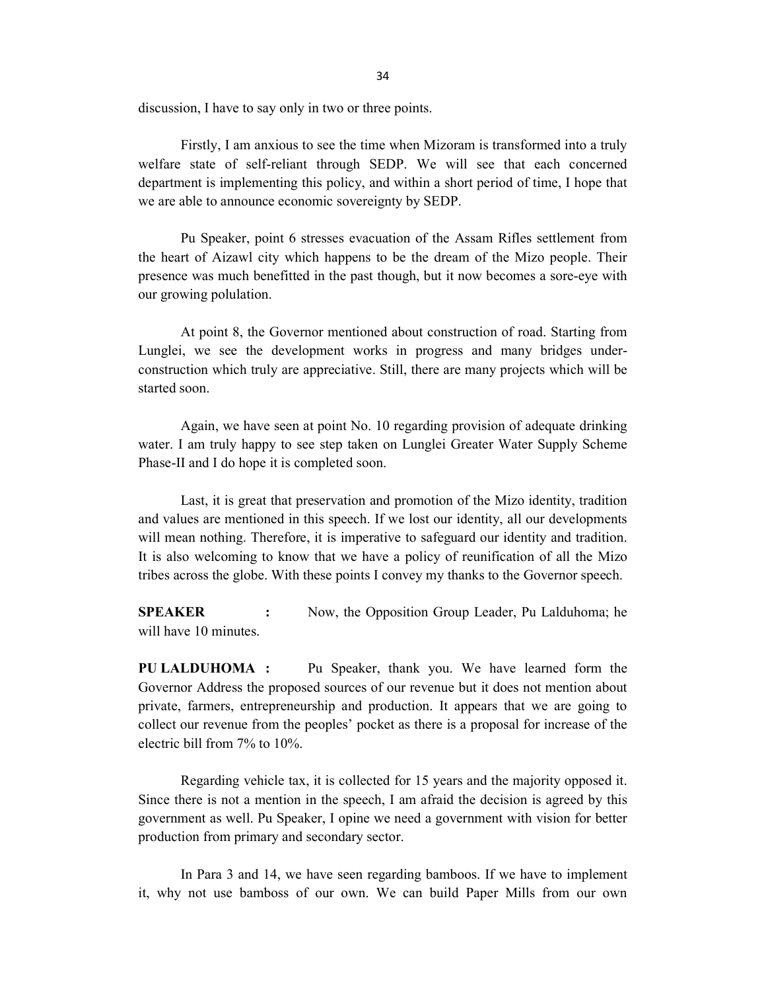discussion, I have to say only in two or three points.

Firstly, I am anxious to see the time when Mizoram is transformed into a truly welfare state of self-reliant through SEDP. We will see that each concerned department is implementing this policy, and within a short period of time, I hope that we are able to announce economic sovereignty by SEDP.

Pu Speaker, point 6 stresses evacuation of the Assam Rifles settlement from the heart of Aizawl city which happens to be the dream of the Mizo people. Their presence was much benefitted in the past though, but it now becomes a sore-eye with our growing polulation.

At point 8, the Governor mentioned about construction of road. Starting from Lunglei, we see the development works in progress and many bridges underconstruction which truly are appreciative. Still, there are many projects which will be started soon.

Again, we have seen at point No. 10 regarding provision of adequate drinking water. I am truly happy to see step taken on Lunglei Greater Water Supply Scheme Phase-II and I do hope it is completed soon.

Last, it is great that preservation and promotion of the Mizo identity, tradition and values are mentioned in this speech. If we lost our identity, all our developments will mean nothing. Therefore, it is imperative to safeguard our identity and tradition. It is also welcoming to know that we have a policy of reunification of all the Mizo tribes across the globe. With these points I convey my thanks to the Governor speech.

SPEAKER : Now, the Opposition Group Leader, Pu Lalduhoma; he will have 10 minutes.

PU LALDUHOMA : Pu Speaker, thank you. We have learned form the Governor Address the proposed sources of our revenue but it does not mention about private, farmers, entrepreneurship and production. It appears that we are going to collect our revenue from the peoples' pocket as there is a proposal for increase of the electric bill from 7% to 10%.

Regarding vehicle tax, it is collected for 15 years and the majority opposed it. Since there is not a mention in the speech, I am afraid the decision is agreed by this government as well. Pu Speaker, I opine we need a government with vision for better production from primary and secondary sector.

In Para 3 and 14, we have seen regarding bamboos. If we have to implement it, why not use bamboss of our own. We can build Paper Mills from our own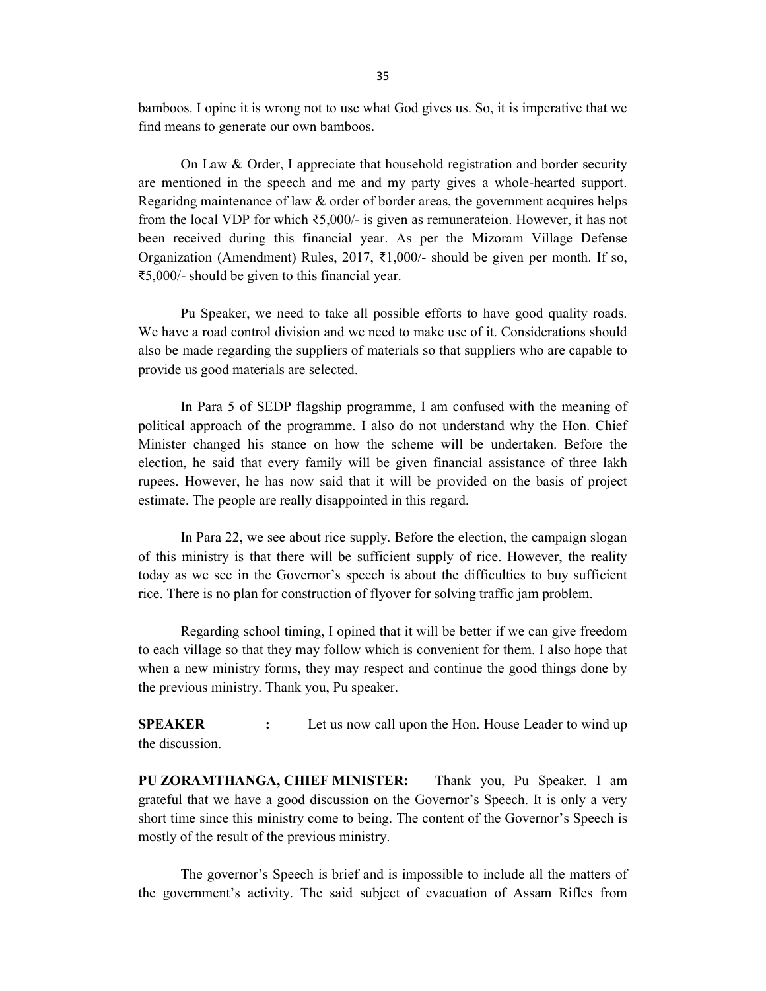bamboos. I opine it is wrong not to use what God gives us. So, it is imperative that we find means to generate our own bamboos.

On Law & Order, I appreciate that household registration and border security are mentioned in the speech and me and my party gives a whole-hearted support. Regaridng maintenance of law & order of border areas, the government acquires helps from the local VDP for which ₹5,000/- is given as remunerateion. However, it has not been received during this financial year. As per the Mizoram Village Defense Organization (Amendment) Rules, 2017, ₹1,000/- should be given per month. If so, ₹5,000/- should be given to this financial year.

Pu Speaker, we need to take all possible efforts to have good quality roads. We have a road control division and we need to make use of it. Considerations should also be made regarding the suppliers of materials so that suppliers who are capable to provide us good materials are selected.

In Para 5 of SEDP flagship programme, I am confused with the meaning of political approach of the programme. I also do not understand why the Hon. Chief Minister changed his stance on how the scheme will be undertaken. Before the election, he said that every family will be given financial assistance of three lakh rupees. However, he has now said that it will be provided on the basis of project estimate. The people are really disappointed in this regard.

In Para 22, we see about rice supply. Before the election, the campaign slogan of this ministry is that there will be sufficient supply of rice. However, the reality today as we see in the Governor's speech is about the difficulties to buy sufficient rice. There is no plan for construction of flyover for solving traffic jam problem.

 Regarding school timing, I opined that it will be better if we can give freedom to each village so that they may follow which is convenient for them. I also hope that when a new ministry forms, they may respect and continue the good things done by the previous ministry. Thank you, Pu speaker.

**SPEAKER** : Let us now call upon the Hon. House Leader to wind up the discussion.

PU ZORAMTHANGA, CHIEF MINISTER: Thank you, Pu Speaker. I am grateful that we have a good discussion on the Governor's Speech. It is only a very short time since this ministry come to being. The content of the Governor's Speech is mostly of the result of the previous ministry.

 The governor's Speech is brief and is impossible to include all the matters of the government's activity. The said subject of evacuation of Assam Rifles from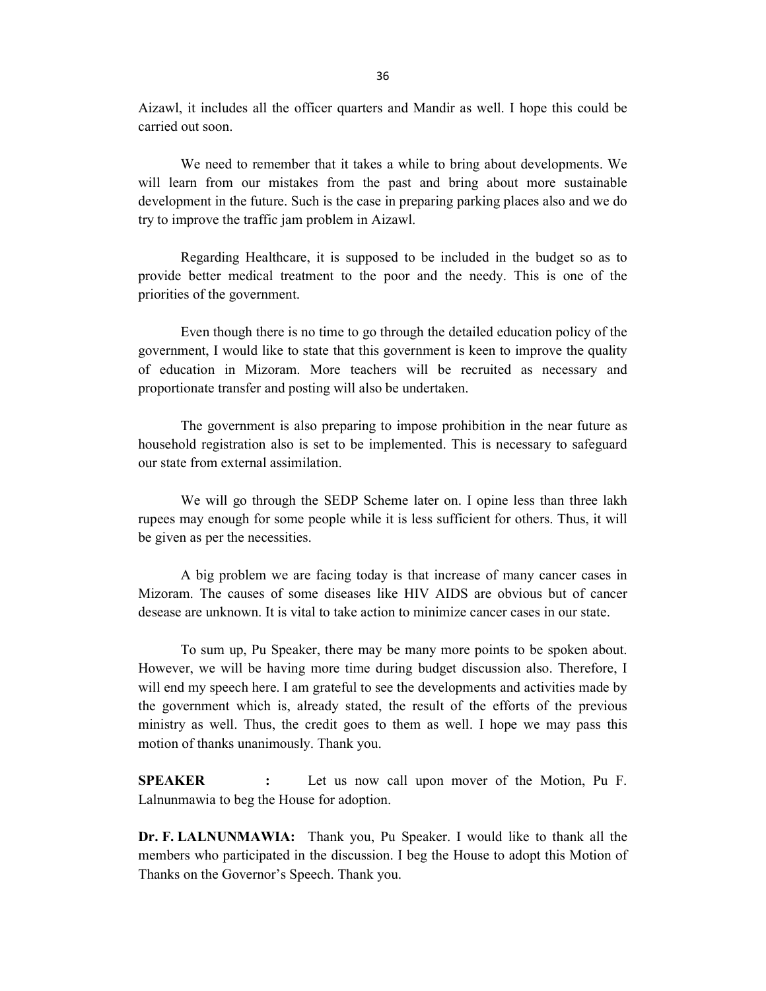Aizawl, it includes all the officer quarters and Mandir as well. I hope this could be carried out soon.

We need to remember that it takes a while to bring about developments. We will learn from our mistakes from the past and bring about more sustainable development in the future. Such is the case in preparing parking places also and we do try to improve the traffic jam problem in Aizawl.

Regarding Healthcare, it is supposed to be included in the budget so as to provide better medical treatment to the poor and the needy. This is one of the priorities of the government.

Even though there is no time to go through the detailed education policy of the government, I would like to state that this government is keen to improve the quality of education in Mizoram. More teachers will be recruited as necessary and proportionate transfer and posting will also be undertaken.

The government is also preparing to impose prohibition in the near future as household registration also is set to be implemented. This is necessary to safeguard our state from external assimilation.

We will go through the SEDP Scheme later on. I opine less than three lakh rupees may enough for some people while it is less sufficient for others. Thus, it will be given as per the necessities.

A big problem we are facing today is that increase of many cancer cases in Mizoram. The causes of some diseases like HIV AIDS are obvious but of cancer desease are unknown. It is vital to take action to minimize cancer cases in our state.

 To sum up, Pu Speaker, there may be many more points to be spoken about. However, we will be having more time during budget discussion also. Therefore, I will end my speech here. I am grateful to see the developments and activities made by the government which is, already stated, the result of the efforts of the previous ministry as well. Thus, the credit goes to them as well. I hope we may pass this motion of thanks unanimously. Thank you.

SPEAKER : Let us now call upon mover of the Motion, Pu F. Lalnunmawia to beg the House for adoption.

Dr. F. LALNUNMAWIA: Thank you, Pu Speaker. I would like to thank all the members who participated in the discussion. I beg the House to adopt this Motion of Thanks on the Governor's Speech. Thank you.